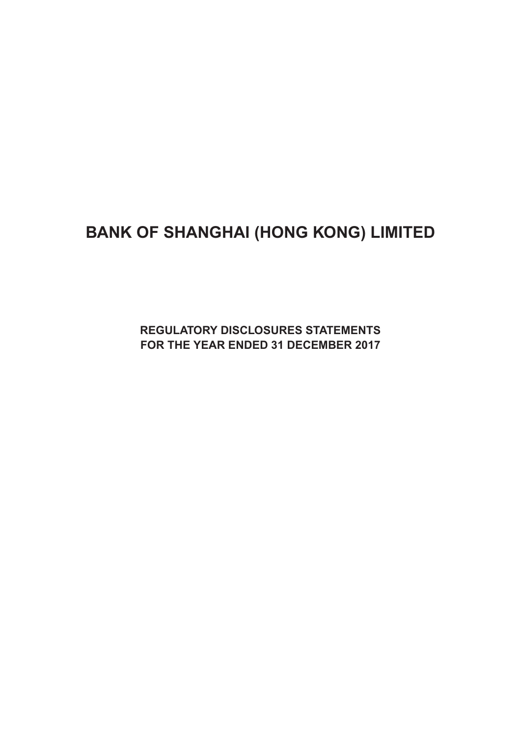# **BANK OF SHANGHAI (HONG KONG) LIMITED**

**Regulatory Disclosures Statements For the Year ended 31 december 2017**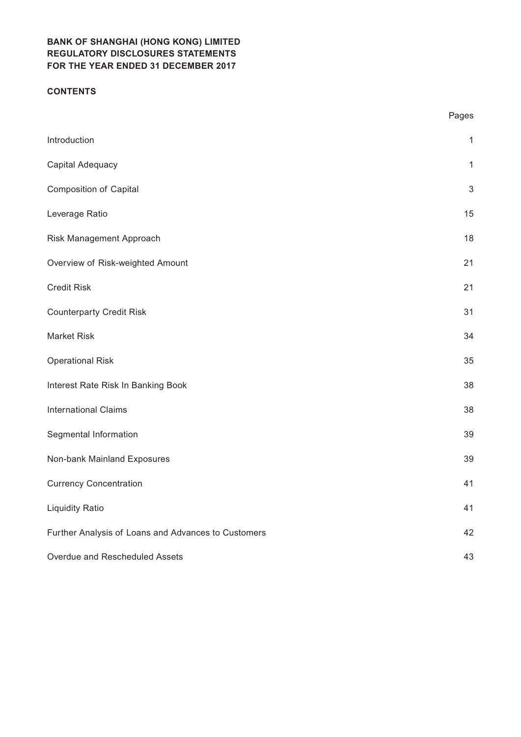## **CONTENTS**

|                                                     | Pages        |
|-----------------------------------------------------|--------------|
| Introduction                                        | $\mathbf{1}$ |
| Capital Adequacy                                    | $\mathbf{1}$ |
| <b>Composition of Capital</b>                       | 3            |
| Leverage Ratio                                      | 15           |
| Risk Management Approach                            | 18           |
| Overview of Risk-weighted Amount                    | 21           |
| <b>Credit Risk</b>                                  | 21           |
| <b>Counterparty Credit Risk</b>                     | 31           |
| <b>Market Risk</b>                                  | 34           |
| <b>Operational Risk</b>                             | 35           |
| Interest Rate Risk In Banking Book                  | 38           |
| <b>International Claims</b>                         | 38           |
| Segmental Information                               | 39           |
| Non-bank Mainland Exposures                         | 39           |
| <b>Currency Concentration</b>                       | 41           |
| <b>Liquidity Ratio</b>                              | 41           |
| Further Analysis of Loans and Advances to Customers | 42           |
| Overdue and Rescheduled Assets                      | 43           |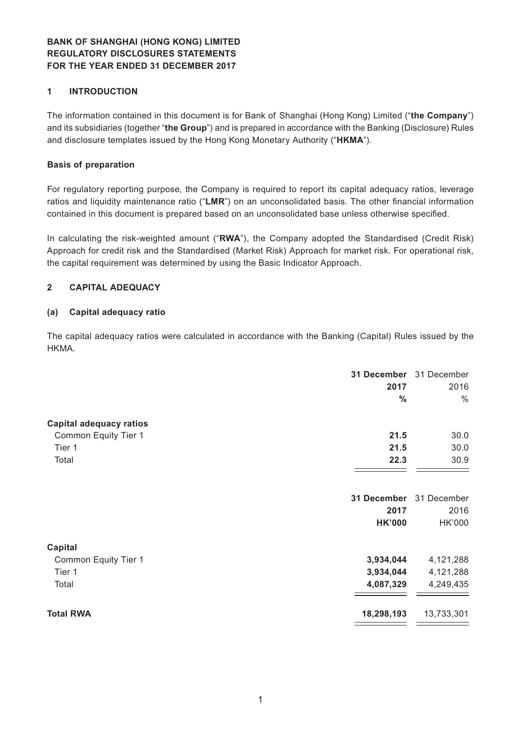## **1 INTRODUCTION**

The information contained in this document is for Bank of Shanghai (Hong Kong) Limited ("**the Company**") and its subsidiaries (together "**the Group**") and is prepared in accordance with the Banking (Disclosure) Rules and disclosure templates issued by the Hong Kong Monetary Authority ("**HKMA**").

#### **Basis of preparation**

For regulatory reporting purpose, the Company is required to report its capital adequacy ratios, leverage ratios and liquidity maintenance ratio ("**LMR**") on an unconsolidated basis. The other financial information contained in this document is prepared based on an unconsolidated base unless otherwise specified.

In calculating the risk-weighted amount ("**RWA**"), the Company adopted the Standardised (Credit Risk) Approach for credit risk and the Standardised (Market Risk) Approach for market risk. For operational risk, the capital requirement was determined by using the Basic Indicator Approach.

## **2 CAPITAL ADEQUACY**

#### **(a) Capital adequacy ratio**

The capital adequacy ratios were calculated in accordance with the Banking (Capital) Rules issued by the HKMA.

| 31 December<br>2017               | 31 December<br>2016<br>$\frac{0}{0}$<br>$\frac{0}{0}$ |
|-----------------------------------|-------------------------------------------------------|
| <b>Capital adequacy ratios</b>    |                                                       |
| 21.5<br>Common Equity Tier 1      | 30.0                                                  |
| 21.5<br>Tier 1                    | 30.0                                                  |
| 22.3<br>Total                     | 30.9                                                  |
| 31 December                       | 31 December                                           |
| 2017                              | 2016                                                  |
| <b>HK'000</b>                     | HK'000                                                |
| <b>Capital</b>                    |                                                       |
| 3,934,044<br>Common Equity Tier 1 | 4,121,288                                             |
| 3,934,044<br>Tier 1               | 4,121,288                                             |
| Total<br>4,087,329                | 4,249,435                                             |
| <b>Total RWA</b><br>18,298,193    | 13,733,301                                            |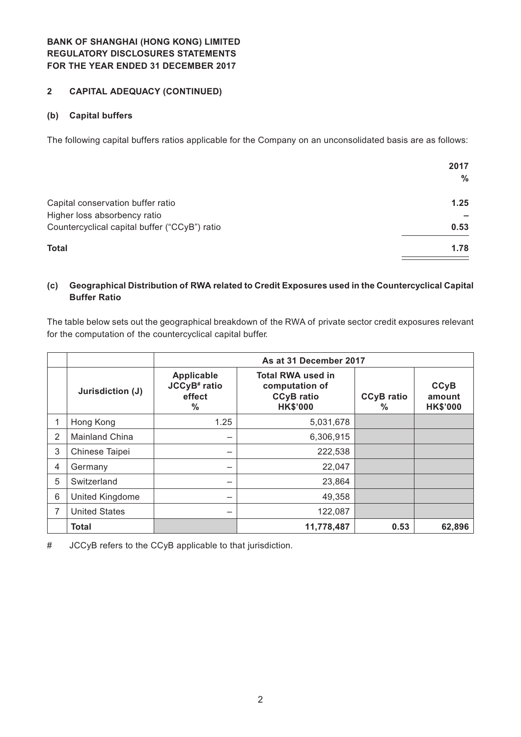## **2 CAPITAL ADEQUACY (CONTINUED)**

## **(b) Capital buffers**

The following capital buffers ratios applicable for the Company on an unconsolidated basis are as follows:

|                                               | 2017 |
|-----------------------------------------------|------|
|                                               | ℅    |
| Capital conservation buffer ratio             | 1.25 |
| Higher loss absorbency ratio                  |      |
| Countercyclical capital buffer ("CCyB") ratio | 0.53 |
| <b>Total</b>                                  | 1.78 |

## **(c) Geographical Distribution of RWA related to Credit Exposures used in the Countercyclical Capital Buffer Ratio**

The table below sets out the geographical breakdown of the RWA of private sector credit exposures relevant for the computation of the countercyclical capital buffer.

|   |                       | As at 31 December 2017                                            |                                                                                    |                        |                                          |
|---|-----------------------|-------------------------------------------------------------------|------------------------------------------------------------------------------------|------------------------|------------------------------------------|
|   | Jurisdiction (J)      | Applicable<br>JCCyB <sup>#</sup> ratio<br>effect<br>$\frac{0}{0}$ | <b>Total RWA used in</b><br>computation of<br><b>CCyB</b> ratio<br><b>HK\$'000</b> | <b>CCyB</b> ratio<br>% | <b>CCyB</b><br>amount<br><b>HK\$'000</b> |
|   | Hong Kong             | 1.25                                                              | 5,031,678                                                                          |                        |                                          |
| 2 | <b>Mainland China</b> | –                                                                 | 6,306,915                                                                          |                        |                                          |
| 3 | Chinese Taipei        | -                                                                 | 222,538                                                                            |                        |                                          |
| 4 | Germany               | -                                                                 | 22,047                                                                             |                        |                                          |
| 5 | Switzerland           | —                                                                 | 23,864                                                                             |                        |                                          |
| 6 | United Kingdome       | —                                                                 | 49,358                                                                             |                        |                                          |
| 7 | <b>United States</b>  | —                                                                 | 122,087                                                                            |                        |                                          |
|   | <b>Total</b>          |                                                                   | 11,778,487                                                                         | 0.53                   | 62,896                                   |

# JCCyB refers to the CCyB applicable to that jurisdiction.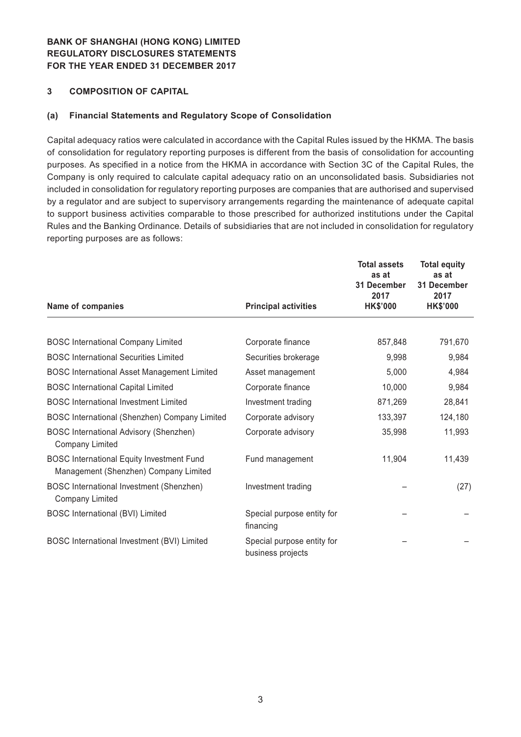### **3 COMPOSITION OF CAPITAL**

#### **(a) Financial Statements and Regulatory Scope of Consolidation**

Capital adequacy ratios were calculated in accordance with the Capital Rules issued by the HKMA. The basis of consolidation for regulatory reporting purposes is different from the basis of consolidation for accounting purposes. As specified in a notice from the HKMA in accordance with Section 3C of the Capital Rules, the Company is only required to calculate capital adequacy ratio on an unconsolidated basis. Subsidiaries not included in consolidation for regulatory reporting purposes are companies that are authorised and supervised by a regulator and are subject to supervisory arrangements regarding the maintenance of adequate capital to support business activities comparable to those prescribed for authorized institutions under the Capital Rules and the Banking Ordinance. Details of subsidiaries that are not included in consolidation for regulatory reporting purposes are as follows:

| Name of companies                                                                         | <b>Principal activities</b>                     | <b>Total assets</b><br>as at<br>31 December<br>2017<br><b>HK\$'000</b> | <b>Total equity</b><br>as at<br>31 December<br>2017<br><b>HK\$'000</b> |
|-------------------------------------------------------------------------------------------|-------------------------------------------------|------------------------------------------------------------------------|------------------------------------------------------------------------|
|                                                                                           |                                                 |                                                                        |                                                                        |
| <b>BOSC International Company Limited</b>                                                 | Corporate finance                               | 857,848                                                                | 791,670                                                                |
| <b>BOSC International Securities Limited</b>                                              | Securities brokerage                            | 9,998                                                                  | 9,984                                                                  |
| <b>BOSC International Asset Management Limited</b>                                        | Asset management                                | 5,000                                                                  | 4,984                                                                  |
| <b>BOSC International Capital Limited</b>                                                 | Corporate finance                               | 10,000                                                                 | 9,984                                                                  |
| <b>BOSC</b> International Investment Limited                                              | Investment trading                              | 871,269                                                                | 28,841                                                                 |
| BOSC International (Shenzhen) Company Limited                                             | Corporate advisory                              | 133,397                                                                | 124,180                                                                |
| <b>BOSC International Advisory (Shenzhen)</b><br><b>Company Limited</b>                   | Corporate advisory                              | 35,998                                                                 | 11,993                                                                 |
| <b>BOSC International Equity Investment Fund</b><br>Management (Shenzhen) Company Limited | Fund management                                 | 11,904                                                                 | 11,439                                                                 |
| BOSC International Investment (Shenzhen)<br>Company Limited                               | Investment trading                              |                                                                        | (27)                                                                   |
| <b>BOSC International (BVI) Limited</b>                                                   | Special purpose entity for<br>financing         |                                                                        |                                                                        |
| BOSC International Investment (BVI) Limited                                               | Special purpose entity for<br>business projects |                                                                        |                                                                        |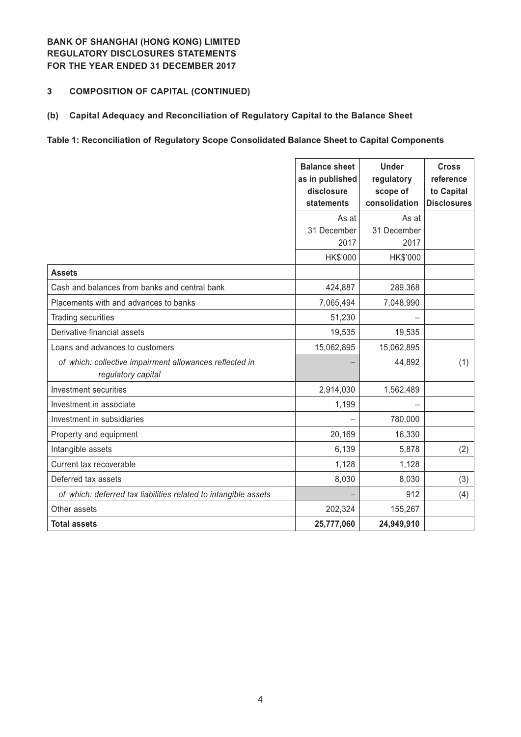## **3 COMPOSITION OF CAPITAL (CONTINUED)**

### **(b) Capital Adequacy and Reconciliation of Regulatory Capital to the Balance Sheet**

## **Table 1: Reconciliation of Regulatory Scope Consolidated Balance Sheet to Capital Components**

|                                                                               | <b>Balance sheet</b><br>as in published<br>disclosure<br>statements | <b>Under</b><br>regulatory<br>scope of<br>consolidation | <b>Cross</b><br>reference<br>to Capital<br><b>Disclosures</b> |
|-------------------------------------------------------------------------------|---------------------------------------------------------------------|---------------------------------------------------------|---------------------------------------------------------------|
|                                                                               | As at                                                               | As at                                                   |                                                               |
|                                                                               | 31 December                                                         | 31 December                                             |                                                               |
|                                                                               | 2017                                                                | 2017                                                    |                                                               |
|                                                                               | HK\$'000                                                            | HK\$'000                                                |                                                               |
| <b>Assets</b>                                                                 |                                                                     |                                                         |                                                               |
| Cash and balances from banks and central bank                                 | 424,887                                                             | 289,368                                                 |                                                               |
| Placements with and advances to banks                                         | 7,065,494                                                           | 7,048,990                                               |                                                               |
| Trading securities                                                            | 51,230                                                              |                                                         |                                                               |
| Derivative financial assets                                                   | 19,535                                                              | 19,535                                                  |                                                               |
| Loans and advances to customers                                               | 15,062,895                                                          | 15,062,895                                              |                                                               |
| of which: collective impairment allowances reflected in<br>regulatory capital |                                                                     | 44,892                                                  | (1)                                                           |
| Investment securities                                                         | 2,914,030                                                           | 1,562,489                                               |                                                               |
| Investment in associate                                                       | 1,199                                                               |                                                         |                                                               |
| Investment in subsidiaries                                                    |                                                                     | 780,000                                                 |                                                               |
| Property and equipment                                                        | 20,169                                                              | 16,330                                                  |                                                               |
| Intangible assets                                                             | 6,139                                                               | 5,878                                                   | (2)                                                           |
| Current tax recoverable                                                       | 1,128                                                               | 1,128                                                   |                                                               |
| Deferred tax assets                                                           | 8,030                                                               | 8,030                                                   | (3)                                                           |
| of which: deferred tax liabilities related to intangible assets               |                                                                     | 912                                                     | (4)                                                           |
| Other assets                                                                  | 202,324                                                             | 155,267                                                 |                                                               |
| <b>Total assets</b>                                                           | 25,777,060                                                          | 24,949,910                                              |                                                               |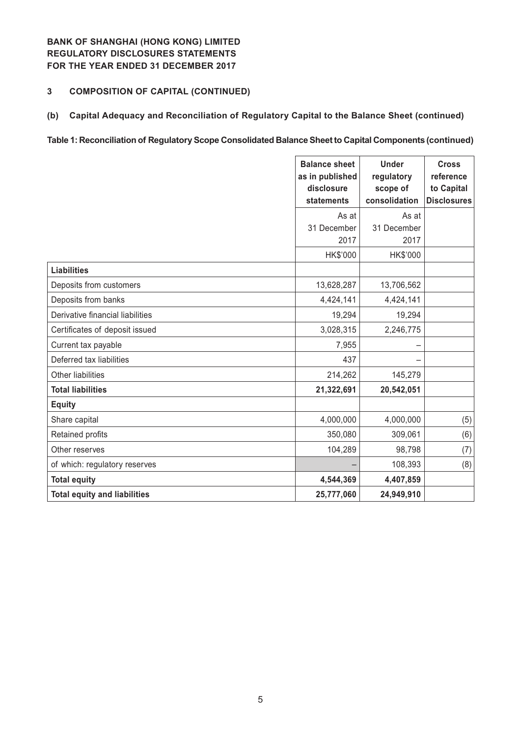## **3 COMPOSITION OF CAPITAL (CONTINUED)**

**(b) Capital Adequacy and Reconciliation of Regulatory Capital to the Balance Sheet (continued)**

#### **Table 1: Reconciliation of Regulatory Scope Consolidated Balance Sheet to Capital Components (continued)**

|                                     | <b>Balance sheet</b><br>as in published<br>disclosure<br>statements | <b>Under</b><br>regulatory<br>scope of<br>consolidation | <b>Cross</b><br>reference<br>to Capital<br><b>Disclosures</b> |
|-------------------------------------|---------------------------------------------------------------------|---------------------------------------------------------|---------------------------------------------------------------|
|                                     | As at                                                               | As at                                                   |                                                               |
|                                     | 31 December                                                         | 31 December                                             |                                                               |
|                                     | 2017                                                                | 2017                                                    |                                                               |
|                                     | HK\$'000                                                            | HK\$'000                                                |                                                               |
| <b>Liabilities</b>                  |                                                                     |                                                         |                                                               |
| Deposits from customers             | 13,628,287                                                          | 13,706,562                                              |                                                               |
| Deposits from banks                 | 4,424,141                                                           | 4,424,141                                               |                                                               |
| Derivative financial liabilities    | 19,294                                                              | 19,294                                                  |                                                               |
| Certificates of deposit issued      | 3,028,315                                                           | 2,246,775                                               |                                                               |
| Current tax payable                 | 7,955                                                               |                                                         |                                                               |
| Deferred tax liabilities            | 437                                                                 |                                                         |                                                               |
| <b>Other liabilities</b>            | 214,262                                                             | 145,279                                                 |                                                               |
| <b>Total liabilities</b>            | 21,322,691                                                          | 20,542,051                                              |                                                               |
| <b>Equity</b>                       |                                                                     |                                                         |                                                               |
| Share capital                       | 4,000,000                                                           | 4,000,000                                               | (5)                                                           |
| Retained profits                    | 350,080                                                             | 309,061                                                 | (6)                                                           |
| Other reserves                      | 104,289                                                             | 98,798                                                  | (7)                                                           |
| of which: regulatory reserves       |                                                                     | 108,393                                                 | (8)                                                           |
| <b>Total equity</b>                 | 4,544,369                                                           | 4,407,859                                               |                                                               |
| <b>Total equity and liabilities</b> | 25,777,060                                                          | 24,949,910                                              |                                                               |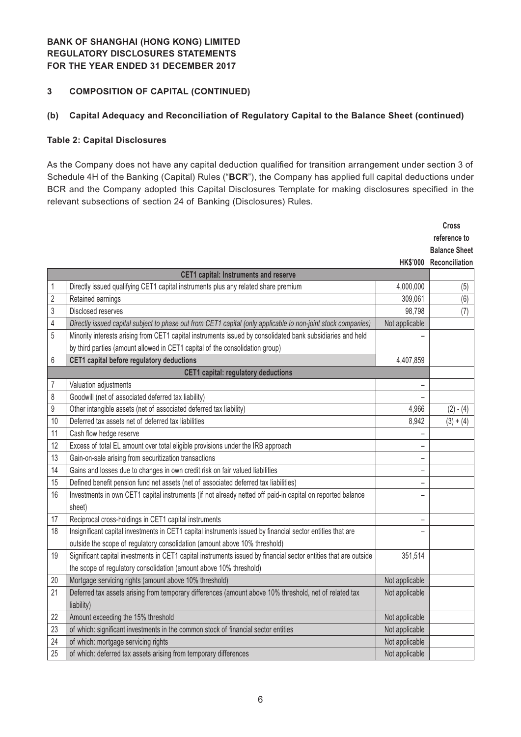## **3 COMPOSITION OF CAPITAL (CONTINUED)**

## **(b) Capital Adequacy and Reconciliation of Regulatory Capital to the Balance Sheet (continued)**

#### **Table 2: Capital Disclosures**

As the Company does not have any capital deduction qualified for transition arrangement under section 3 of Schedule 4H of the Banking (Capital) Rules ("**BCR**"), the Company has applied full capital deductions under BCR and the Company adopted this Capital Disclosures Template for making disclosures specified in the relevant subsections of section 24 of Banking (Disclosures) Rules.

|                |                                                                                                                  |                          | <b>Cross</b>            |
|----------------|------------------------------------------------------------------------------------------------------------------|--------------------------|-------------------------|
|                |                                                                                                                  |                          | reference to            |
|                |                                                                                                                  |                          | <b>Balance Sheet</b>    |
|                |                                                                                                                  |                          | HK\$'000 Reconciliation |
|                | <b>CET1 capital: Instruments and reserve</b>                                                                     |                          |                         |
| 1              | Directly issued qualifying CET1 capital instruments plus any related share premium                               | 4,000,000                | (5)                     |
| $\overline{2}$ | Retained earnings                                                                                                | 309,061                  | (6)                     |
| 3              | Disclosed reserves                                                                                               | 98,798                   | (7)                     |
| 4              | Directly issued capital subject to phase out from CET1 capital (only applicable lo non-joint stock companies)    | Not applicable           |                         |
| 5              | Minority interests arising from CET1 capital instruments issued by consolidated bank subsidiaries and held       |                          |                         |
|                | by third parties (amount allowed in CET1 capital of the consolidation group)                                     |                          |                         |
| 6              | CET1 capital before regulatory deductions                                                                        | 4,407,859                |                         |
|                | <b>CET1 capital: regulatory deductions</b>                                                                       |                          |                         |
| 7              | Valuation adjustments                                                                                            |                          |                         |
| 8              | Goodwill (net of associated deferred tax liability)                                                              |                          |                         |
| 9              | Other intangible assets (net of associated deferred tax liability)                                               | 4,966                    | $(2) - (4)$             |
| 10             | Deferred tax assets net of deferred tax liabilities                                                              | 8,942                    | $(3) + (4)$             |
| 11             | Cash flow hedge reserve                                                                                          |                          |                         |
| 12             | Excess of total EL amount over total eligible provisions under the IRB approach                                  |                          |                         |
| 13             | Gain-on-sale arising from securitization transactions                                                            | -                        |                         |
| 14             | Gains and losses due to changes in own credit risk on fair valued liabilities                                    | $\overline{\phantom{m}}$ |                         |
| 15             | Defined benefit pension fund net assets (net of associated deferred tax liabilities)                             | -                        |                         |
| 16             | Investments in own CET1 capital instruments (if not already netted off paid-in capital on reported balance       |                          |                         |
|                | sheet)                                                                                                           |                          |                         |
| 17             | Reciprocal cross-holdings in CET1 capital instruments                                                            |                          |                         |
| 18             | Insignificant capital investments in CET1 capital instruments issued by financial sector entities that are       |                          |                         |
|                | outside the scope of regulatory consolidation (amount above 10% threshold)                                       |                          |                         |
| 19             | Significant capital investments in CET1 capital instruments issued by financial sector entities that are outside | 351,514                  |                         |
|                | the scope of regulatory consolidation (amount above 10% threshold)                                               |                          |                         |
| 20             | Mortgage servicing rights (amount above 10% threshold)                                                           | Not applicable           |                         |
| 21             | Deferred tax assets arising from temporary differences (amount above 10% threshold, net of related tax           | Not applicable           |                         |
|                | liability)                                                                                                       |                          |                         |
| 22             | Amount exceeding the 15% threshold                                                                               | Not applicable           |                         |
| 23             | of which: significant investments in the common stock of financial sector entities                               | Not applicable           |                         |
| 24             | of which: mortgage servicing rights                                                                              | Not applicable           |                         |
| 25             | of which: deferred tax assets arising from temporary differences                                                 | Not applicable           |                         |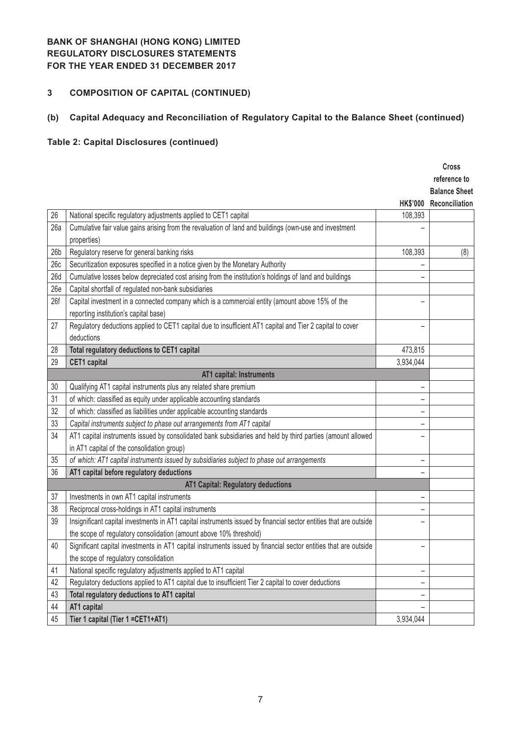# **3 COMPOSITION OF CAPITAL (CONTINUED)**

# **(b) Capital Adequacy and Reconciliation of Regulatory Capital to the Balance Sheet (continued)**

# **Table 2: Capital Disclosures (continued)**

|                 |                                                                                                                   |                 | <b>Cross</b><br>reference to           |
|-----------------|-------------------------------------------------------------------------------------------------------------------|-----------------|----------------------------------------|
|                 |                                                                                                                   | <b>HK\$'000</b> | <b>Balance Sheet</b><br>Reconciliation |
| 26              | National specific regulatory adjustments applied to CET1 capital                                                  | 108,393         |                                        |
| 26a             | Cumulative fair value gains arising from the revaluation of land and buildings (own-use and investment            |                 |                                        |
|                 | properties)                                                                                                       |                 |                                        |
| 26 <sub>b</sub> | Regulatory reserve for general banking risks                                                                      | 108,393         | (8)                                    |
| 26c             | Securitization exposures specified in a notice given by the Monetary Authority                                    |                 |                                        |
| 26d             | Cumulative losses below depreciated cost arising from the institution's holdings of land and buildings            |                 |                                        |
| 26e             | Capital shortfall of regulated non-bank subsidiaries                                                              |                 |                                        |
| 26f             | Capital investment in a connected company which is a commercial entity (amount above 15% of the                   |                 |                                        |
|                 | reporting institution's capital base)                                                                             |                 |                                        |
| 27              | Regulatory deductions applied to CET1 capital due to insufficient AT1 capital and Tier 2 capital to cover         |                 |                                        |
|                 | deductions                                                                                                        |                 |                                        |
| 28              | Total regulatory deductions to CET1 capital                                                                       | 473,815         |                                        |
| 29              | <b>CET1</b> capital                                                                                               | 3,934,044       |                                        |
|                 | AT1 capital: Instruments                                                                                          |                 |                                        |
| 30              | Qualifying AT1 capital instruments plus any related share premium                                                 |                 |                                        |
| 31              | of which: classified as equity under applicable accounting standards                                              |                 |                                        |
| 32              | of which: classified as liabilities under applicable accounting standards                                         |                 |                                        |
| 33              | Capital instruments subject to phase out arrangements from AT1 capital                                            |                 |                                        |
| 34              | AT1 capital instruments issued by consolidated bank subsidiaries and held by third parties (amount allowed        |                 |                                        |
|                 | in AT1 capital of the consolidation group)                                                                        |                 |                                        |
| 35              | of which: AT1 capital instruments issued by subsidiaries subject to phase out arrangements                        |                 |                                        |
| 36              | AT1 capital before regulatory deductions                                                                          |                 |                                        |
|                 | <b>AT1 Capital: Regulatory deductions</b>                                                                         |                 |                                        |
| 37              | Investments in own AT1 capital instruments                                                                        |                 |                                        |
| 38              | Reciprocal cross-holdings in AT1 capital instruments                                                              | -               |                                        |
| 39              | Insignificant capital investments in AT1 capital instruments issued by financial sector entities that are outside |                 |                                        |
|                 | the scope of regulatory consolidation (amount above 10% threshold)                                                |                 |                                        |
| 40              | Significant capital investments in AT1 capital instruments issued by financial sector entities that are outside   |                 |                                        |
|                 | the scope of regulatory consolidation                                                                             |                 |                                        |
| 41              | National specific regulatory adjustments applied to AT1 capital                                                   |                 |                                        |
| 42              | Regulatory deductions applied to AT1 capital due to insufficient Tier 2 capital to cover deductions               |                 |                                        |
| 43              | Total regulatory deductions to AT1 capital                                                                        |                 |                                        |
| 44              | AT1 capital                                                                                                       |                 |                                        |
| 45              | Tier 1 capital (Tier 1 = CET1+AT1)                                                                                | 3,934,044       |                                        |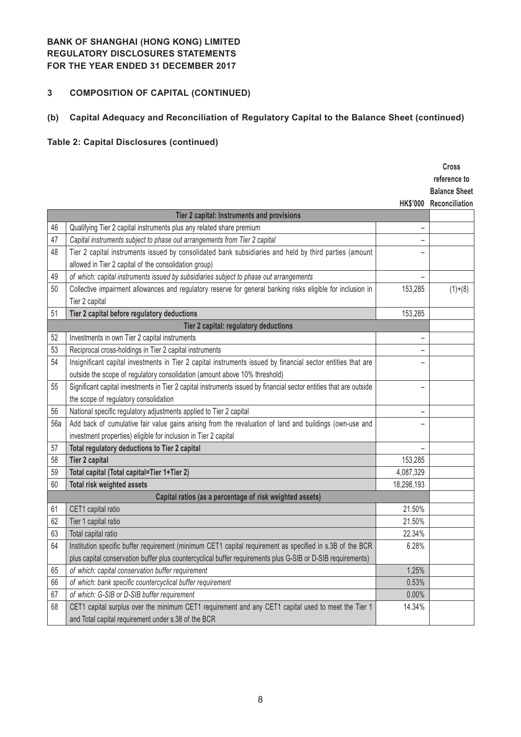# **3 COMPOSITION OF CAPITAL (CONTINUED)**

# **(b) Capital Adequacy and Reconciliation of Regulatory Capital to the Balance Sheet (continued)**

# **Table 2: Capital Disclosures (continued)**

|     |                                                                                                                    |                 | <b>Cross</b>         |
|-----|--------------------------------------------------------------------------------------------------------------------|-----------------|----------------------|
|     |                                                                                                                    |                 | reference to         |
|     |                                                                                                                    |                 | <b>Balance Sheet</b> |
|     |                                                                                                                    | <b>HK\$'000</b> | Reconciliation       |
|     | Tier 2 capital: Instruments and provisions                                                                         |                 |                      |
| 46  | Qualifying Tier 2 capital instruments plus any related share premium                                               |                 |                      |
| 47  | Capital instruments subject to phase out arrangements from Tier 2 capital                                          |                 |                      |
| 48  | Tier 2 capital instruments issued by consolidated bank subsidiaries and held by third parties (amount              |                 |                      |
|     | allowed in Tier 2 capital of the consolidation group)                                                              |                 |                      |
| 49  | of which: capital instruments issued by subsidiaries subject to phase out arrangements                             |                 |                      |
| 50  | Collective impairment allowances and regulatory reserve for general banking risks eligible for inclusion in        | 153,285         | $(1)+(8)$            |
|     | Tier 2 capital                                                                                                     |                 |                      |
| 51  | Tier 2 capital before regulatory deductions                                                                        | 153,285         |                      |
|     | Tier 2 capital: regulatory deductions                                                                              |                 |                      |
| 52  | Investments in own Tier 2 capital instruments                                                                      |                 |                      |
| 53  | Reciprocal cross-holdings in Tier 2 capital instruments                                                            |                 |                      |
| 54  | Insignificant capital investments in Tier 2 capital instruments issued by financial sector entities that are       |                 |                      |
|     | outside the scope of regulatory consolidation (amount above 10% threshold)                                         |                 |                      |
| 55  | Significant capital investments in Tier 2 capital instruments issued by financial sector entities that are outside |                 |                      |
|     | the scope of regulatory consolidation                                                                              |                 |                      |
| 56  | National specific regulatory adjustments applied to Tier 2 capital                                                 |                 |                      |
| 56a | Add back of cumulative fair value gains arising from the revaluation of land and buildings (own-use and            |                 |                      |
|     | investment properties) eligible for inclusion in Tier 2 capital                                                    |                 |                      |
| 57  | Total regulatory deductions to Tier 2 capital                                                                      |                 |                      |
| 58  | <b>Tier 2 capital</b>                                                                                              | 153,285         |                      |
| 59  | Total capital (Total capital=Tier 1+Tier 2)                                                                        | 4,087,329       |                      |
| 60  | Total risk weighted assets                                                                                         | 18,298,193      |                      |
|     | Capital ratios (as a percentage of risk weighted assets)                                                           |                 |                      |
| 61  | CET1 capital ratio                                                                                                 | 21.50%          |                      |
| 62  | Tier 1 capital ratio                                                                                               | 21.50%          |                      |
| 63  | Total capital ratio                                                                                                | 22.34%          |                      |
| 64  | Institution specific buffer requirement (minimum CET1 capital requirement as specified in s.3B of the BCR          | 6.28%           |                      |
|     | plus capital conservation buffer plus countercyclical buffer requirements plus G-SIB or D-SIB requirements)        |                 |                      |
| 65  | of which: capital conservation buffer requirement                                                                  | 1.25%           |                      |
| 66  | of which: bank specific countercyclical buffer requirement                                                         | 0.53%           |                      |
| 67  | of which: G-SIB or D-SIB buffer requirement                                                                        | 0.00%           |                      |
| 68  | CET1 capital surplus over the minimum CET1 requirement and any CET1 capital used to meet the Tier 1                | 14.34%          |                      |
|     | and Total capital requirement under s.38 of the BCR                                                                |                 |                      |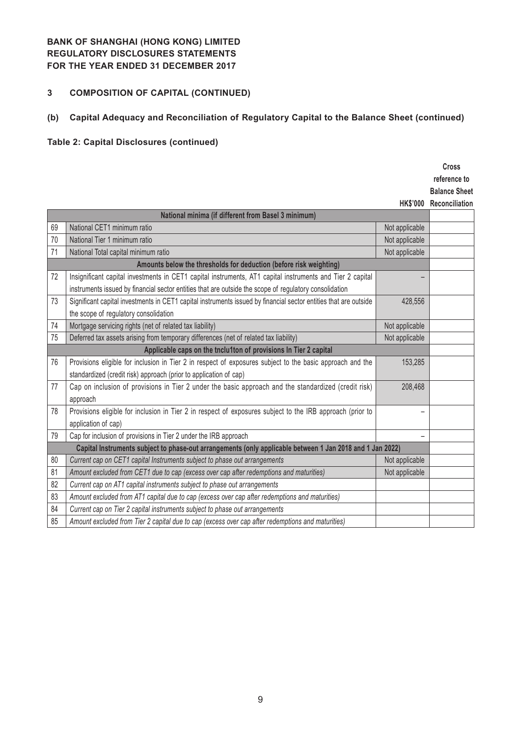# **3 COMPOSITION OF CAPITAL (CONTINUED)**

# **(b) Capital Adequacy and Reconciliation of Regulatory Capital to the Balance Sheet (continued)**

# **Table 2: Capital Disclosures (continued)**

|    |                                                                                                                  |                 | <b>Cross</b>         |
|----|------------------------------------------------------------------------------------------------------------------|-----------------|----------------------|
|    |                                                                                                                  |                 | reference to         |
|    |                                                                                                                  |                 | <b>Balance Sheet</b> |
|    |                                                                                                                  | <b>HK\$'000</b> | Reconciliation       |
|    | National minima (if different from Basel 3 minimum)                                                              |                 |                      |
| 69 | National CET1 minimum ratio                                                                                      | Not applicable  |                      |
| 70 | National Tier 1 minimum ratio                                                                                    | Not applicable  |                      |
| 71 | National Total capital minimum ratio                                                                             | Not applicable  |                      |
|    | Amounts below the thresholds for deduction (before risk weighting)                                               |                 |                      |
| 72 | Insignificant capital investments in CET1 capital instruments, AT1 capital instruments and Tier 2 capital        |                 |                      |
|    | instruments issued by financial sector entities that are outside the scope of regulatory consolidation           |                 |                      |
| 73 | Significant capital investments in CET1 capital instruments issued by financial sector entities that are outside | 428,556         |                      |
|    | the scope of regulatory consolidation                                                                            |                 |                      |
| 74 | Mortgage servicing rights (net of related tax liability)                                                         | Not applicable  |                      |
| 75 | Deferred tax assets arising from temporary differences (net of related tax liability)                            | Not applicable  |                      |
|    | Applicable caps on the tnclu1ton of provisions In Tier 2 capital                                                 |                 |                      |
| 76 | Provisions eligible for inclusion in Tier 2 in respect of exposures subject to the basic approach and the        | 153,285         |                      |
|    | standardized (credit risk) approach (prior to application of cap)                                                |                 |                      |
| 77 | Cap on inclusion of provisions in Tier 2 under the basic approach and the standardized (credit risk)             | 208,468         |                      |
|    | approach                                                                                                         |                 |                      |
| 78 | Provisions eligible for inclusion in Tier 2 in respect of exposures subject to the IRB approach (prior to        |                 |                      |
|    | application of cap)                                                                                              |                 |                      |
| 79 | Cap for inclusion of provisions in Tier 2 under the IRB approach                                                 |                 |                      |
|    | Capital Instruments subject to phase-out arrangements (only applicable between 1 Jan 2018 and 1 Jan 2022)        |                 |                      |
| 80 | Current cap on CET1 capital Instruments subject to phase out arrangements                                        | Not applicable  |                      |
| 81 | Amount excluded from CET1 due to cap (excess over cap after redemptions and maturities)                          | Not applicable  |                      |
| 82 | Current cap on AT1 capital instruments subject to phase out arrangements                                         |                 |                      |
| 83 | Amount excluded from AT1 capital due to cap (excess over cap after redemptions and maturities)                   |                 |                      |
| 84 | Current cap on Tier 2 capital instruments subject to phase out arrangements                                      |                 |                      |
| 85 | Amount excluded from Tier 2 capital due to cap (excess over cap after redemptions and maturities)                |                 |                      |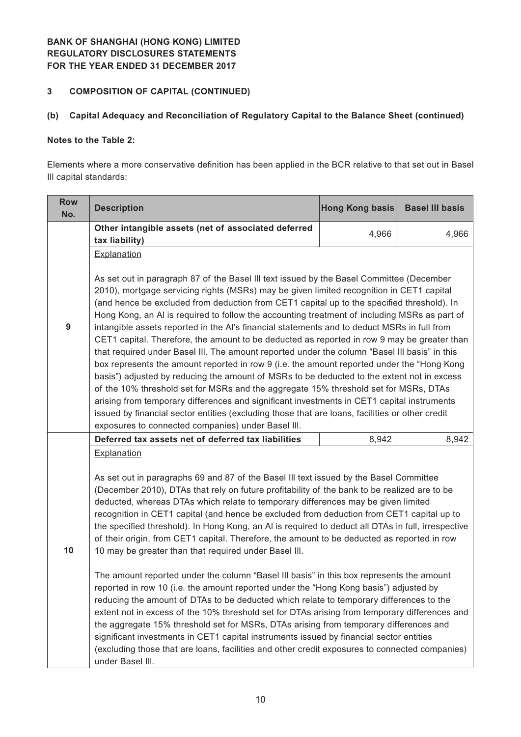# **3 COMPOSITION OF CAPITAL (CONTINUED)**

## **(b) Capital Adequacy and Reconciliation of Regulatory Capital to the Balance Sheet (continued)**

## **Notes to the Table 2:**

Elements where a more conservative definition has been applied in the BCR relative to that set out in Basel Ill capital standards:

| <b>Row</b><br>No. | <b>Description</b>                                                                                                                                                                                                                                                                                                                                                                                                                                                                                                                                                                                                                                                                                                                                                                                                                                                                                                                                                                                                                                                                                                                                                                                                                                                                                                                               | Hong Kong basis | <b>Basel III basis</b> |  |  |
|-------------------|--------------------------------------------------------------------------------------------------------------------------------------------------------------------------------------------------------------------------------------------------------------------------------------------------------------------------------------------------------------------------------------------------------------------------------------------------------------------------------------------------------------------------------------------------------------------------------------------------------------------------------------------------------------------------------------------------------------------------------------------------------------------------------------------------------------------------------------------------------------------------------------------------------------------------------------------------------------------------------------------------------------------------------------------------------------------------------------------------------------------------------------------------------------------------------------------------------------------------------------------------------------------------------------------------------------------------------------------------|-----------------|------------------------|--|--|
|                   | Other intangible assets (net of associated deferred                                                                                                                                                                                                                                                                                                                                                                                                                                                                                                                                                                                                                                                                                                                                                                                                                                                                                                                                                                                                                                                                                                                                                                                                                                                                                              | 4,966           | 4,966                  |  |  |
|                   | tax liability)                                                                                                                                                                                                                                                                                                                                                                                                                                                                                                                                                                                                                                                                                                                                                                                                                                                                                                                                                                                                                                                                                                                                                                                                                                                                                                                                   |                 |                        |  |  |
|                   | Explanation                                                                                                                                                                                                                                                                                                                                                                                                                                                                                                                                                                                                                                                                                                                                                                                                                                                                                                                                                                                                                                                                                                                                                                                                                                                                                                                                      |                 |                        |  |  |
| 9                 | As set out in paragraph 87 of the Basel III text issued by the Basel Committee (December<br>2010), mortgage servicing rights (MSRs) may be given limited recognition in CET1 capital<br>(and hence be excluded from deduction from CET1 capital up to the specified threshold). In<br>Hong Kong, an AI is required to follow the accounting treatment of including MSRs as part of<br>intangible assets reported in the AI's financial statements and to deduct MSRs in full from<br>CET1 capital. Therefore, the amount to be deducted as reported in row 9 may be greater than<br>that required under Basel III. The amount reported under the column "Basel III basis" in this<br>box represents the amount reported in row 9 (i.e. the amount reported under the "Hong Kong<br>basis") adjusted by reducing the amount of MSRs to be deducted to the extent not in excess<br>of the 10% threshold set for MSRs and the aggregate 15% threshold set for MSRs, DTAs<br>arising from temporary differences and significant investments in CET1 capital instruments<br>issued by financial sector entities (excluding those that are loans, facilities or other credit<br>exposures to connected companies) under Basel III.                                                                                                                     |                 |                        |  |  |
|                   | Deferred tax assets net of deferred tax liabilities                                                                                                                                                                                                                                                                                                                                                                                                                                                                                                                                                                                                                                                                                                                                                                                                                                                                                                                                                                                                                                                                                                                                                                                                                                                                                              | 8,942           | 8,942                  |  |  |
| 10                | Explanation<br>As set out in paragraphs 69 and 87 of the Basel III text issued by the Basel Committee<br>(December 2010), DTAs that rely on future profitability of the bank to be realized are to be<br>deducted, whereas DTAs which relate to temporary differences may be given limited<br>recognition in CET1 capital (and hence be excluded from deduction from CET1 capital up to<br>the specified threshold). In Hong Kong, an AI is required to deduct all DTAs in full, irrespective<br>of their origin, from CET1 capital. Therefore, the amount to be deducted as reported in row<br>10 may be greater than that required under Basel III.<br>The amount reported under the column "Basel III basis" in this box represents the amount<br>reported in row 10 (i.e. the amount reported under the "Hong Kong basis") adjusted by<br>reducing the amount of DTAs to be deducted which relate to temporary differences to the<br>extent not in excess of the 10% threshold set for DTAs arising from temporary differences and<br>the aggregate 15% threshold set for MSRs, DTAs arising from temporary differences and<br>significant investments in CET1 capital instruments issued by financial sector entities<br>(excluding those that are loans, facilities and other credit exposures to connected companies)<br>under Basel III. |                 |                        |  |  |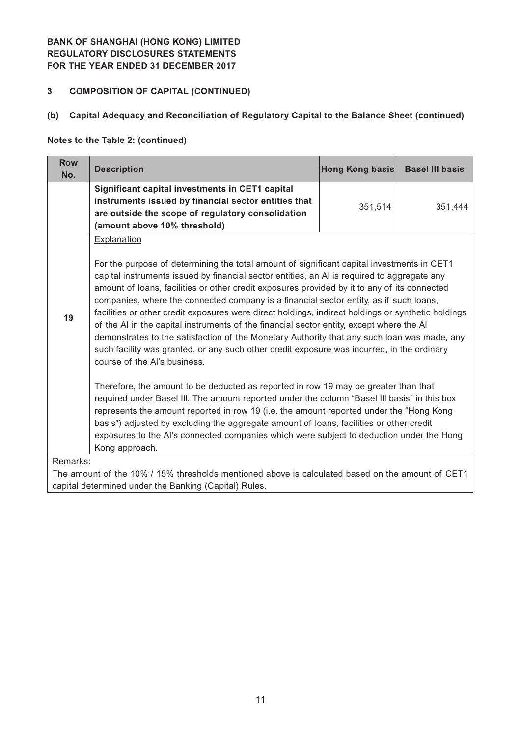## **3 COMPOSITION OF CAPITAL (CONTINUED)**

## **(b) Capital Adequacy and Reconciliation of Regulatory Capital to the Balance Sheet (continued)**

#### **Notes to the Table 2: (continued)**

| <b>Row</b><br>No.                                                                                            | <b>Description</b>                                                                                                                                                                                                                                                                                                                                                                                                                                                                                                                                                                                                                                                                                                                                                                                                                                                                                                                                                                                                                                                                                                                                                                                                                                                                                                           | Hong Kong basis | <b>Basel III basis</b> |  |  |
|--------------------------------------------------------------------------------------------------------------|------------------------------------------------------------------------------------------------------------------------------------------------------------------------------------------------------------------------------------------------------------------------------------------------------------------------------------------------------------------------------------------------------------------------------------------------------------------------------------------------------------------------------------------------------------------------------------------------------------------------------------------------------------------------------------------------------------------------------------------------------------------------------------------------------------------------------------------------------------------------------------------------------------------------------------------------------------------------------------------------------------------------------------------------------------------------------------------------------------------------------------------------------------------------------------------------------------------------------------------------------------------------------------------------------------------------------|-----------------|------------------------|--|--|
|                                                                                                              | Significant capital investments in CET1 capital<br>instruments issued by financial sector entities that<br>are outside the scope of regulatory consolidation<br>(amount above 10% threshold)                                                                                                                                                                                                                                                                                                                                                                                                                                                                                                                                                                                                                                                                                                                                                                                                                                                                                                                                                                                                                                                                                                                                 | 351,514         | 351,444                |  |  |
| 19                                                                                                           | Explanation<br>For the purpose of determining the total amount of significant capital investments in CET1<br>capital instruments issued by financial sector entities, an AI is required to aggregate any<br>amount of loans, facilities or other credit exposures provided by it to any of its connected<br>companies, where the connected company is a financial sector entity, as if such loans,<br>facilities or other credit exposures were direct holdings, indirect holdings or synthetic holdings<br>of the AI in the capital instruments of the financial sector entity, except where the AI<br>demonstrates to the satisfaction of the Monetary Authority that any such loan was made, any<br>such facility was granted, or any such other credit exposure was incurred, in the ordinary<br>course of the Al's business.<br>Therefore, the amount to be deducted as reported in row 19 may be greater than that<br>required under Basel III. The amount reported under the column "Basel III basis" in this box<br>represents the amount reported in row 19 (i.e. the amount reported under the "Hong Kong<br>basis") adjusted by excluding the aggregate amount of loans, facilities or other credit<br>exposures to the Al's connected companies which were subject to deduction under the Hong<br>Kong approach. |                 |                        |  |  |
| Remarks:<br>The amount of the 10% / 15% thresholds mentioned above is calculated based on the amount of CET1 |                                                                                                                                                                                                                                                                                                                                                                                                                                                                                                                                                                                                                                                                                                                                                                                                                                                                                                                                                                                                                                                                                                                                                                                                                                                                                                                              |                 |                        |  |  |
| capital determined under the Banking (Capital) Rules.                                                        |                                                                                                                                                                                                                                                                                                                                                                                                                                                                                                                                                                                                                                                                                                                                                                                                                                                                                                                                                                                                                                                                                                                                                                                                                                                                                                                              |                 |                        |  |  |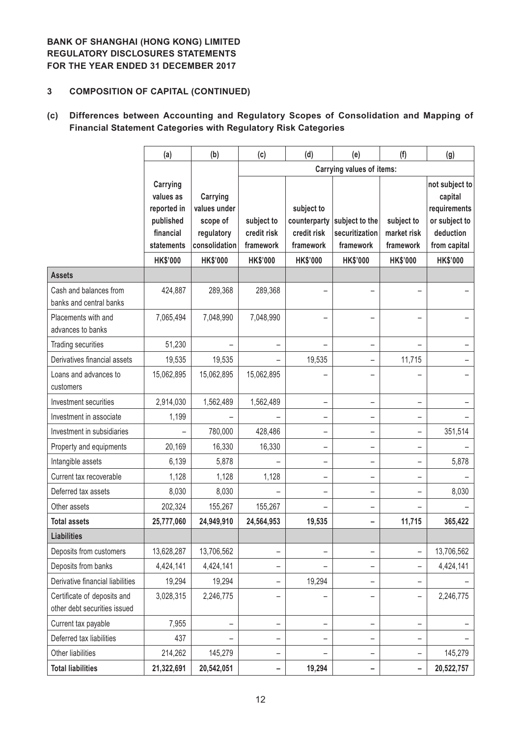## **3 COMPOSITION OF CAPITAL (CONTINUED)**

## **(c) Differences between Accounting and Regulatory Scopes of Consolidation and Mapping of Financial Statement Categories with Regulatory Risk Categories**

|                                                             | (a)                                                                          | (b)                                                                 | (c)                                    | (d)                                                    | (e)                                           | (f)                                    | (g)                                                                                     |
|-------------------------------------------------------------|------------------------------------------------------------------------------|---------------------------------------------------------------------|----------------------------------------|--------------------------------------------------------|-----------------------------------------------|----------------------------------------|-----------------------------------------------------------------------------------------|
|                                                             |                                                                              |                                                                     |                                        |                                                        | <b>Carrying values of items:</b>              |                                        |                                                                                         |
|                                                             | Carrying<br>values as<br>reported in<br>published<br>financial<br>statements | Carrying<br>values under<br>scope of<br>regulatory<br>consolidation | subject to<br>credit risk<br>framework | subject to<br>counterparty<br>credit risk<br>framework | subject to the<br>securitization<br>framework | subject to<br>market risk<br>framework | not subject to<br>capital<br>requirements<br>or subject to<br>deduction<br>from capital |
|                                                             | <b>HK\$'000</b>                                                              | <b>HK\$'000</b>                                                     | <b>HK\$'000</b>                        | <b>HK\$'000</b>                                        | <b>HK\$'000</b>                               | <b>HK\$'000</b>                        | <b>HK\$'000</b>                                                                         |
| <b>Assets</b>                                               |                                                                              |                                                                     |                                        |                                                        |                                               |                                        |                                                                                         |
| Cash and balances from<br>banks and central banks           | 424,887                                                                      | 289,368                                                             | 289,368                                |                                                        |                                               |                                        |                                                                                         |
| Placements with and<br>advances to banks                    | 7,065,494                                                                    | 7,048,990                                                           | 7,048,990                              |                                                        |                                               |                                        |                                                                                         |
| Trading securities                                          | 51,230                                                                       |                                                                     | $\overline{\phantom{0}}$               |                                                        |                                               |                                        |                                                                                         |
| Derivatives financial assets                                | 19,535                                                                       | 19,535                                                              |                                        | 19,535                                                 |                                               | 11,715                                 |                                                                                         |
| Loans and advances to<br>customers                          | 15,062,895                                                                   | 15,062,895                                                          | 15,062,895                             |                                                        |                                               |                                        |                                                                                         |
| Investment securities                                       | 2,914,030                                                                    | 1,562,489                                                           | 1,562,489                              | -                                                      |                                               |                                        |                                                                                         |
| Investment in associate                                     | 1,199                                                                        |                                                                     |                                        |                                                        |                                               |                                        |                                                                                         |
| Investment in subsidiaries                                  |                                                                              | 780,000                                                             | 428,486                                | -                                                      |                                               |                                        | 351,514                                                                                 |
| Property and equipments                                     | 20,169                                                                       | 16,330                                                              | 16,330                                 |                                                        |                                               |                                        |                                                                                         |
| Intangible assets                                           | 6,139                                                                        | 5,878                                                               |                                        |                                                        |                                               | $\overline{\phantom{0}}$               | 5,878                                                                                   |
| Current tax recoverable                                     | 1,128                                                                        | 1,128                                                               | 1,128                                  | -                                                      |                                               |                                        |                                                                                         |
| Deferred tax assets                                         | 8,030                                                                        | 8,030                                                               |                                        |                                                        |                                               |                                        | 8,030                                                                                   |
| Other assets                                                | 202,324                                                                      | 155,267                                                             | 155,267                                |                                                        |                                               |                                        |                                                                                         |
| <b>Total assets</b>                                         | 25,777,060                                                                   | 24,949,910                                                          | 24,564,953                             | 19,535                                                 |                                               | 11,715                                 | 365,422                                                                                 |
| <b>Liabilities</b>                                          |                                                                              |                                                                     |                                        |                                                        |                                               |                                        |                                                                                         |
| Deposits from customers                                     | 13,628,287                                                                   | 13,706,562                                                          | -                                      |                                                        |                                               |                                        | 13,706,562                                                                              |
| Deposits from banks                                         | 4,424,141                                                                    | 4,424,141                                                           | -                                      |                                                        |                                               |                                        | 4,424,141                                                                               |
| Derivative financial liabilities                            | 19,294                                                                       | 19,294                                                              | -                                      | 19,294                                                 |                                               |                                        |                                                                                         |
| Certificate of deposits and<br>other debt securities issued | 3,028,315                                                                    | 2,246,775                                                           |                                        |                                                        |                                               |                                        | 2,246,775                                                                               |
| Current tax payable                                         | 7,955                                                                        |                                                                     | -                                      |                                                        |                                               | -                                      |                                                                                         |
| Deferred tax liabilities                                    | 437                                                                          |                                                                     | -                                      |                                                        |                                               |                                        |                                                                                         |
| Other liabilities                                           | 214,262                                                                      | 145,279                                                             | -                                      |                                                        |                                               |                                        | 145,279                                                                                 |
| <b>Total liabilities</b>                                    | 21,322,691                                                                   | 20,542,051                                                          | -                                      | 19,294                                                 |                                               |                                        | 20,522,757                                                                              |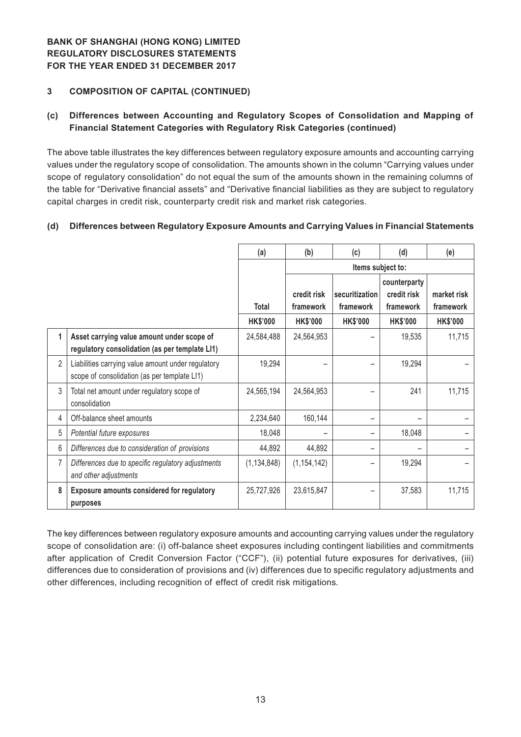## **3 COMPOSITION OF CAPITAL (CONTINUED)**

## **(c) Differences between Accounting and Regulatory Scopes of Consolidation and Mapping of Financial Statement Categories with Regulatory Risk Categories (continued)**

The above table illustrates the key differences between regulatory exposure amounts and accounting carrying values under the regulatory scope of consolidation. The amounts shown in the column "Carrying values under scope of regulatory consolidation" do not equal the sum of the amounts shown in the remaining columns of the table for "Derivative financial assets" and "Derivative financial liabilities as they are subject to regulatory capital charges in credit risk, counterparty credit risk and market risk categories.

## **(d) Differences between Regulatory Exposure Amounts and Carrying Values in Financial Statements**

|                |                                                                                                    | (a)             | (b)                      | (c)                         | (d)                                      | (e)                      |
|----------------|----------------------------------------------------------------------------------------------------|-----------------|--------------------------|-----------------------------|------------------------------------------|--------------------------|
|                |                                                                                                    |                 | Items subject to:        |                             |                                          |                          |
|                |                                                                                                    | <b>Total</b>    | credit risk<br>framework | securitization<br>framework | counterparty<br>credit risk<br>framework | market risk<br>framework |
|                |                                                                                                    | <b>HK\$'000</b> | <b>HK\$'000</b>          | <b>HK\$'000</b>             | <b>HK\$'000</b>                          | <b>HK\$'000</b>          |
| 1              | Asset carrying value amount under scope of<br>regulatory consolidation (as per template LI1)       | 24,584,488      | 24,564,953               |                             | 19,535                                   | 11,715                   |
| $\overline{2}$ | Liabilities carrying value amount under regulatory<br>scope of consolidation (as per template LI1) | 19,294          |                          |                             | 19,294                                   |                          |
| 3              | Total net amount under regulatory scope of<br>consolidation                                        | 24,565,194      | 24,564,953               |                             | 241                                      | 11,715                   |
| 4              | Off-balance sheet amounts                                                                          | 2,234,640       | 160,144                  |                             |                                          |                          |
| 5              | Potential future exposures                                                                         | 18,048          |                          |                             | 18,048                                   |                          |
| 6              | Differences due to consideration of provisions                                                     | 44,892          | 44,892                   |                             |                                          |                          |
| 7              | Differences due to specific regulatory adjustments<br>and other adjustments                        | (1, 134, 848)   | (1, 154, 142)            |                             | 19,294                                   |                          |
| 8              | Exposure amounts considered for regulatory<br>purposes                                             | 25,727,926      | 23,615,847               |                             | 37,583                                   | 11,715                   |

The key differences between regulatory exposure amounts and accounting carrying values under the regulatory scope of consolidation are: (i) off-balance sheet exposures including contingent liabilities and commitments after application of Credit Conversion Factor ("CCF"), (ii) potential future exposures for derivatives, (iii) differences due to consideration of provisions and (iv) differences due to specific regulatory adjustments and other differences, including recognition of effect of credit risk mitigations.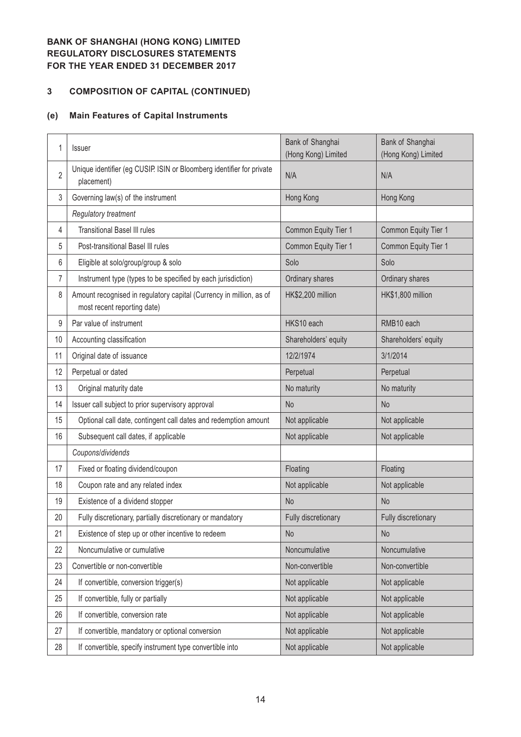# **3 COMPOSITION OF CAPITAL (CONTINUED)**

# **(e) Main Features of Capital Instruments**

| 1              | Issuer                                                                                             | Bank of Shanghai<br>(Hong Kong) Limited | Bank of Shanghai<br>(Hong Kong) Limited |
|----------------|----------------------------------------------------------------------------------------------------|-----------------------------------------|-----------------------------------------|
| $\overline{2}$ | Unique identifier (eg CUSIP. ISIN or Bloomberg identifier for private<br>placement)                | N/A                                     | N/A                                     |
| 3              | Governing law(s) of the instrument                                                                 | Hong Kong                               | Hong Kong                               |
|                | Regulatory treatment                                                                               |                                         |                                         |
| 4              | <b>Transitional Basel III rules</b>                                                                | Common Equity Tier 1                    | Common Equity Tier 1                    |
| 5              | Post-transitional Basel III rules                                                                  | Common Equity Tier 1                    | Common Equity Tier 1                    |
| 6              | Eligible at solo/group/group & solo                                                                | Solo                                    | Solo                                    |
| 7              | Instrument type (types to be specified by each jurisdiction)                                       | Ordinary shares                         | Ordinary shares                         |
| 8              | Amount recognised in regulatory capital (Currency in million, as of<br>most recent reporting date) | HK\$2,200 million                       | HK\$1,800 million                       |
| 9              | Par value of instrument                                                                            | HKS10 each                              | RMB10 each                              |
| 10             | Accounting classification                                                                          | Shareholders' equity                    | Shareholders' equity                    |
| 11             | Original date of issuance                                                                          | 12/2/1974                               | 3/1/2014                                |
| 12             | Perpetual or dated                                                                                 | Perpetual                               | Perpetual                               |
| 13             | Original maturity date                                                                             | No maturity                             | No maturity                             |
| 14             | Issuer call subject to prior supervisory approval                                                  | <b>No</b>                               | N <sub>o</sub>                          |
| 15             | Optional call date, contingent call dates and redemption amount                                    | Not applicable                          | Not applicable                          |
| 16             | Subsequent call dates, if applicable                                                               | Not applicable                          | Not applicable                          |
|                | Coupons/dividends                                                                                  |                                         |                                         |
| 17             | Fixed or floating dividend/coupon                                                                  | Floating                                | Floating                                |
| 18             | Coupon rate and any related index                                                                  | Not applicable                          | Not applicable                          |
| 19             | Existence of a dividend stopper                                                                    | <b>No</b>                               | <b>No</b>                               |
| 20             | Fully discretionary, partially discretionary or mandatory                                          | Fully discretionary                     | Fully discretionary                     |
| 21             | Existence of step up or other incentive to redeem                                                  | <b>No</b>                               | No                                      |
| 22             | Noncumulative or cumulative                                                                        | Noncumulative                           | Noncumulative                           |
| 23             | Convertible or non-convertible                                                                     | Non-convertible                         | Non-convertible                         |
| 24             | If convertible, conversion trigger(s)                                                              | Not applicable                          | Not applicable                          |
| 25             | If convertible, fully or partially                                                                 | Not applicable                          | Not applicable                          |
| 26             | If convertible, conversion rate                                                                    | Not applicable                          | Not applicable                          |
| 27             | If convertible, mandatory or optional conversion                                                   | Not applicable                          | Not applicable                          |
| 28             | If convertible, specify instrument type convertible into                                           | Not applicable                          | Not applicable                          |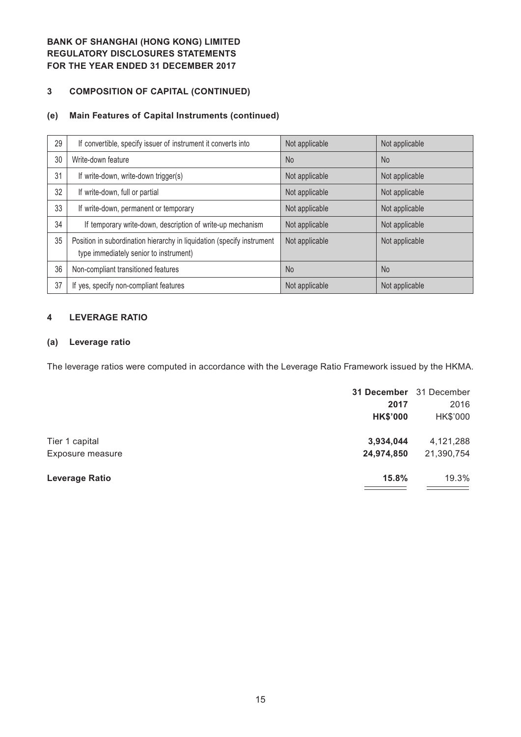# **3 COMPOSITION OF CAPITAL (CONTINUED)**

## **(e) Main Features of Capital Instruments (continued)**

| 29 | If convertible, specify issuer of instrument it converts into                                                    | Not applicable | Not applicable |
|----|------------------------------------------------------------------------------------------------------------------|----------------|----------------|
| 30 | Write-down feature                                                                                               | <b>No</b>      | N <sub>o</sub> |
| 31 | If write-down, write-down trigger(s)                                                                             | Not applicable | Not applicable |
| 32 | If write-down, full or partial                                                                                   | Not applicable | Not applicable |
| 33 | If write-down, permanent or temporary                                                                            | Not applicable | Not applicable |
| 34 | If temporary write-down, description of write-up mechanism                                                       | Not applicable | Not applicable |
| 35 | Position in subordination hierarchy in liquidation (specify instrument<br>type immediately senior to instrument) | Not applicable | Not applicable |
| 36 | Non-compliant transitioned features                                                                              | <b>No</b>      | <b>No</b>      |
| 37 | If yes, specify non-compliant features                                                                           | Not applicable | Not applicable |

## **4 LEVERAGE RATIO**

## **(a) Leverage ratio**

The leverage ratios were computed in accordance with the Leverage Ratio Framework issued by the HKMA.

|                  | 31 December 31 December |            |
|------------------|-------------------------|------------|
|                  | 2017                    | 2016       |
|                  | <b>HK\$'000</b>         | HK\$'000   |
| Tier 1 capital   | 3,934,044               | 4,121,288  |
| Exposure measure | 24,974,850              | 21,390,754 |
| Leverage Ratio   | 15.8%                   | 19.3%      |
|                  |                         |            |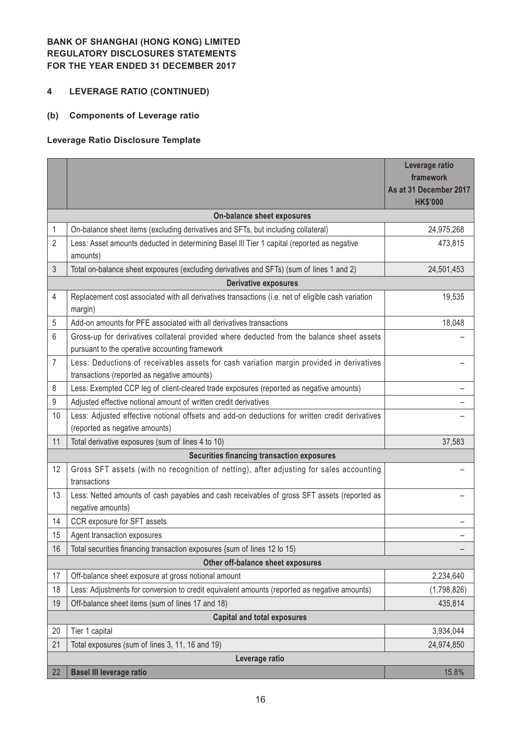# **4 LEVERAGE RATIO (CONTINUED)**

# **(b) Components of Leverage ratio**

## **Leverage Ratio Disclosure Template**

|                |                                                                                                                                             | Leverage ratio<br>framework<br>As at 31 December 2017 |  |  |  |  |
|----------------|---------------------------------------------------------------------------------------------------------------------------------------------|-------------------------------------------------------|--|--|--|--|
|                |                                                                                                                                             | <b>HK\$'000</b>                                       |  |  |  |  |
|                | On-balance sheet exposures                                                                                                                  |                                                       |  |  |  |  |
| 1              | On-balance sheet items (excluding derivatives and SFTs, but including collateral)                                                           | 24,975,268                                            |  |  |  |  |
| $\overline{2}$ | Less: Asset amounts deducted in determining Basel III Tier 1 capital (reported as negative<br>amounts)                                      | 473,815                                               |  |  |  |  |
| 3              | Total on-balance sheet exposures (excluding derivatives and SFTs) (sum of lines 1 and 2)                                                    | 24,501,453                                            |  |  |  |  |
|                | <b>Derivative exposures</b>                                                                                                                 |                                                       |  |  |  |  |
| 4              | Replacement cost associated with all derivatives transactions (i.e. net of eligible cash variation<br>margin)                               | 19,535                                                |  |  |  |  |
| 5              | Add-on amounts for PFE associated with all derivatives transactions                                                                         | 18,048                                                |  |  |  |  |
| 6              | Gross-up for derivatives collateral provided where deducted from the balance sheet assets<br>pursuant to the operative accounting framework |                                                       |  |  |  |  |
| 7              | Less: Deductions of receivables assets for cash variation margin provided in derivatives<br>transactions (reported as negative amounts)     |                                                       |  |  |  |  |
| 8              | Less: Exempted CCP leg of client-cleared trade exposures (reported as negative amounts)                                                     |                                                       |  |  |  |  |
| 9              | Adjusted effective notional amount of written credit derivatives                                                                            |                                                       |  |  |  |  |
| 10             | Less: Adjusted effective notional offsets and add-on deductions for written credit derivatives                                              |                                                       |  |  |  |  |
|                | (reported as negative amounts)                                                                                                              |                                                       |  |  |  |  |
| 11             | Total derivative exposures (sum of lines 4 to 10)                                                                                           | 37,583                                                |  |  |  |  |
|                | <b>Securities financing transaction exposures</b>                                                                                           |                                                       |  |  |  |  |
| 12             | Gross SFT assets (with no recognition of netting), after adjusting for sales accounting<br>transactions                                     |                                                       |  |  |  |  |
| 13             | Less: Netted amounts of cash payables and cash receivables of gross SFT assets (reported as<br>negative amounts)                            |                                                       |  |  |  |  |
| 14             | CCR exposure for SFT assets                                                                                                                 |                                                       |  |  |  |  |
| 15             | Agent transaction exposures                                                                                                                 |                                                       |  |  |  |  |
| 16             | Total securities financing transaction exposures {sum of lines 12 lo 15)                                                                    |                                                       |  |  |  |  |
|                | Other off-balance sheet exposures                                                                                                           |                                                       |  |  |  |  |
| 17             | Off-balance sheet exposure at gross notional amount                                                                                         | 2,234,640                                             |  |  |  |  |
| 18             | Less: Adjustments for conversion to credit equivalent amounts (reported as negative amounts)                                                | (1,798,826)                                           |  |  |  |  |
| 19             | Off-balance sheet items (sum of lines 17 and 18)                                                                                            | 435,814                                               |  |  |  |  |
|                | <b>Capital and total exposures</b>                                                                                                          |                                                       |  |  |  |  |
| 20             | Tier 1 capital                                                                                                                              | 3,934,044                                             |  |  |  |  |
| 21             | Total exposures (sum of lines 3, 11, 16 and 19)                                                                                             | 24,974,850                                            |  |  |  |  |
|                | Leverage ratio                                                                                                                              |                                                       |  |  |  |  |
| 22             | <b>Basel III leverage ratio</b>                                                                                                             | 15.8%                                                 |  |  |  |  |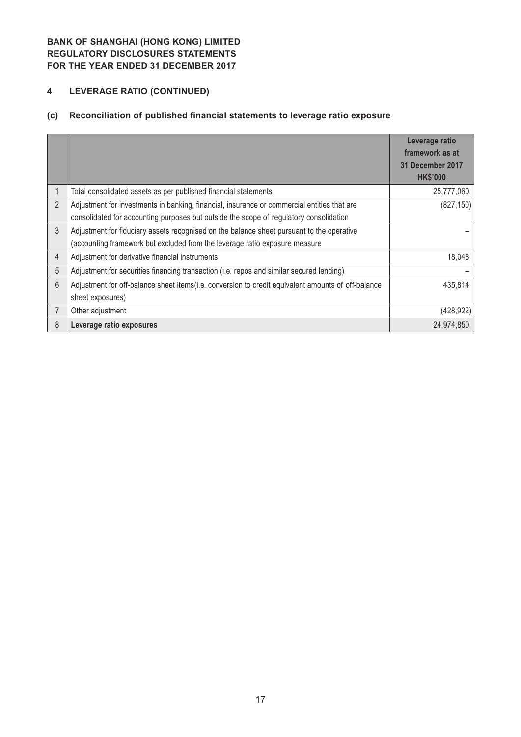# **4 LEVERAGE RATIO (CONTINUED)**

# **(c) Reconciliation of published financial statements to leverage ratio exposure**

|                |                                                                                                                                                                                       | Leverage ratio<br>framework as at<br>31 December 2017<br><b>HK\$'000</b> |
|----------------|---------------------------------------------------------------------------------------------------------------------------------------------------------------------------------------|--------------------------------------------------------------------------|
| 1              | Total consolidated assets as per published financial statements                                                                                                                       | 25,777,060                                                               |
| $\overline{2}$ | Adjustment for investments in banking, financial, insurance or commercial entities that are<br>consolidated for accounting purposes but outside the scope of regulatory consolidation | (827, 150)                                                               |
| 3              | Adjustment for fiduciary assets recognised on the balance sheet pursuant to the operative<br>(accounting framework but excluded from the leverage ratio exposure measure              |                                                                          |
| 4              | Adjustment for derivative financial instruments                                                                                                                                       | 18,048                                                                   |
| 5              | Adjustment for securities financing transaction (i.e. repos and similar secured lending)                                                                                              |                                                                          |
| 6              | Adjustment for off-balance sheet items(i.e. conversion to credit equivalent amounts of off-balance<br>sheet exposures)                                                                | 435,814                                                                  |
|                | Other adjustment                                                                                                                                                                      | (428, 922)                                                               |
| 8              | Leverage ratio exposures                                                                                                                                                              | 24,974,850                                                               |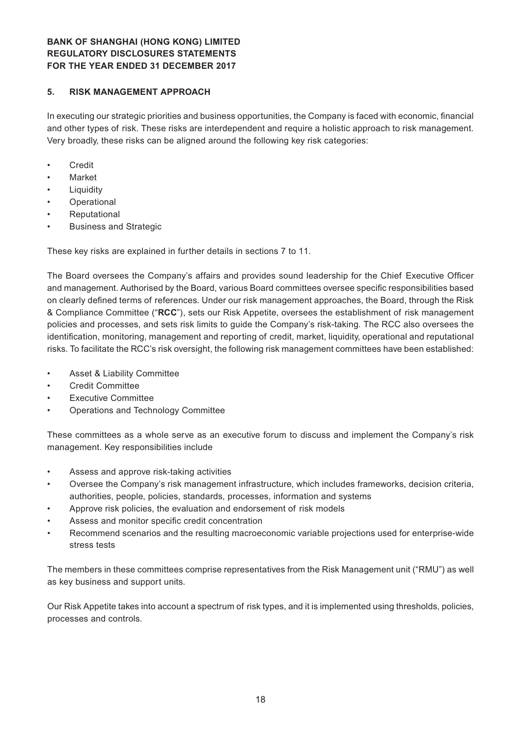## **5. RISK MANAGEMENT APPROACH**

In executing our strategic priorities and business opportunities, the Company is faced with economic, financial and other types of risk. These risks are interdependent and require a holistic approach to risk management. Very broadly, these risks can be aligned around the following key risk categories:

- • Credit
- **Market**
- **Liquidity**
- **Operational**
- **Reputational**
- **Business and Strategic**

These key risks are explained in further details in sections 7 to 11.

The Board oversees the Company's affairs and provides sound leadership for the Chief Executive Officer and management. Authorised by the Board, various Board committees oversee specific responsibilities based on clearly defined terms of references. Under our risk management approaches, the Board, through the Risk & Compliance Committee ("**RCC**"), sets our Risk Appetite, oversees the establishment of risk management policies and processes, and sets risk limits to guide the Company's risk-taking. The RCC also oversees the identification, monitoring, management and reporting of credit, market, liquidity, operational and reputational risks. To facilitate the RCC's risk oversight, the following risk management committees have been established:

- Asset & Liability Committee
- **Credit Committee**
- **Executive Committee**
- Operations and Technology Committee

These committees as a whole serve as an executive forum to discuss and implement the Company's risk management. Key responsibilities include

- Assess and approve risk-taking activities
- Oversee the Company's risk management infrastructure, which includes frameworks, decision criteria, authorities, people, policies, standards, processes, information and systems
- Approve risk policies, the evaluation and endorsement of risk models
- Assess and monitor specific credit concentration
- Recommend scenarios and the resulting macroeconomic variable projections used for enterprise-wide stress tests

The members in these committees comprise representatives from the Risk Management unit ("RMU") as well as key business and support units.

Our Risk Appetite takes into account a spectrum of risk types, and it is implemented using thresholds, policies, processes and controls.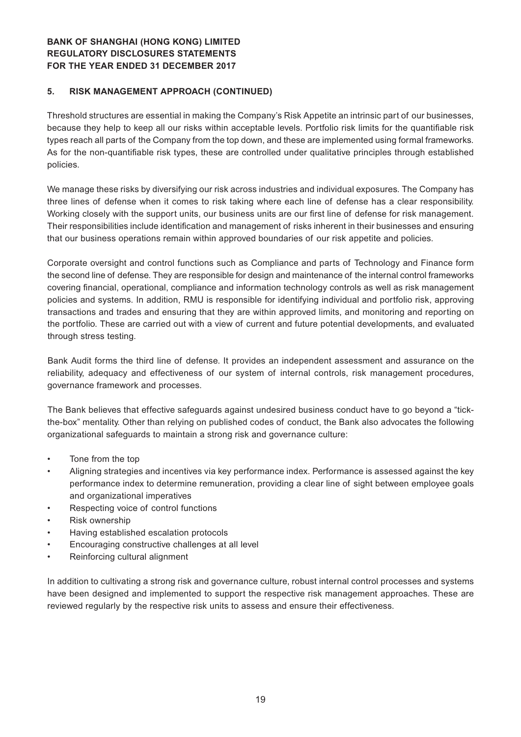### **5. RISK MANAGEMENT APPROACH (CONTINUED)**

Threshold structures are essential in making the Company's Risk Appetite an intrinsic part of our businesses, because they help to keep all our risks within acceptable levels. Portfolio risk limits for the quantifiable risk types reach all parts of the Company from the top down, and these are implemented using formal frameworks. As for the non-quantifiable risk types, these are controlled under qualitative principles through established policies.

We manage these risks by diversifying our risk across industries and individual exposures. The Company has three lines of defense when it comes to risk taking where each line of defense has a clear responsibility. Working closely with the support units, our business units are our first line of defense for risk management. Their responsibilities include identification and management of risks inherent in their businesses and ensuring that our business operations remain within approved boundaries of our risk appetite and policies.

Corporate oversight and control functions such as Compliance and parts of Technology and Finance form the second line of defense. They are responsible for design and maintenance of the internal control frameworks covering financial, operational, compliance and information technology controls as well as risk management policies and systems. In addition, RMU is responsible for identifying individual and portfolio risk, approving transactions and trades and ensuring that they are within approved limits, and monitoring and reporting on the portfolio. These are carried out with a view of current and future potential developments, and evaluated through stress testing.

Bank Audit forms the third line of defense. It provides an independent assessment and assurance on the reliability, adequacy and effectiveness of our system of internal controls, risk management procedures, governance framework and processes.

The Bank believes that effective safeguards against undesired business conduct have to go beyond a "tickthe-box" mentality. Other than relying on published codes of conduct, the Bank also advocates the following organizational safeguards to maintain a strong risk and governance culture:

- • Tone from the top
- Aligning strategies and incentives via key performance index. Performance is assessed against the key performance index to determine remuneration, providing a clear line of sight between employee goals and organizational imperatives
- Respecting voice of control functions
- Risk ownership
- Having established escalation protocols
- Encouraging constructive challenges at all level
- Reinforcing cultural alignment

In addition to cultivating a strong risk and governance culture, robust internal control processes and systems have been designed and implemented to support the respective risk management approaches. These are reviewed regularly by the respective risk units to assess and ensure their effectiveness.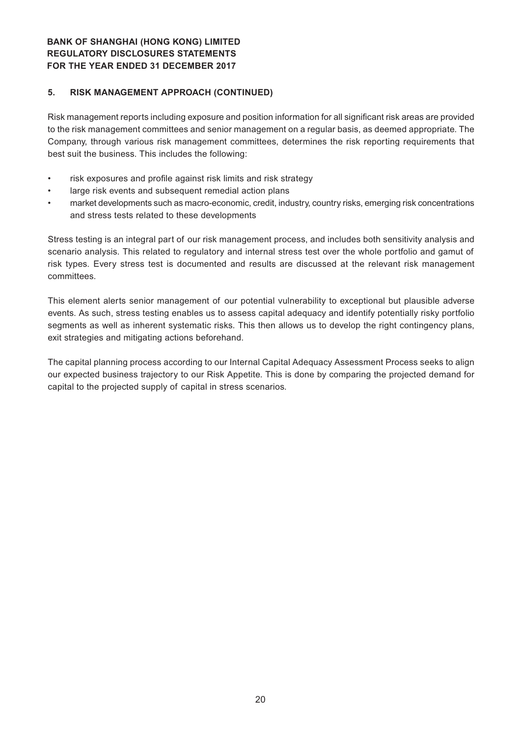### **5. RISK MANAGEMENT APPROACH (CONTINUED)**

Risk management reports including exposure and position information for all significant risk areas are provided to the risk management committees and senior management on a regular basis, as deemed appropriate. The Company, through various risk management committees, determines the risk reporting requirements that best suit the business. This includes the following:

- risk exposures and profile against risk limits and risk strategy
- • large risk events and subsequent remedial action plans
- market developments such as macro-economic, credit, industry, country risks, emerging risk concentrations and stress tests related to these developments

Stress testing is an integral part of our risk management process, and includes both sensitivity analysis and scenario analysis. This related to regulatory and internal stress test over the whole portfolio and gamut of risk types. Every stress test is documented and results are discussed at the relevant risk management committees.

This element alerts senior management of our potential vulnerability to exceptional but plausible adverse events. As such, stress testing enables us to assess capital adequacy and identify potentially risky portfolio segments as well as inherent systematic risks. This then allows us to develop the right contingency plans, exit strategies and mitigating actions beforehand.

The capital planning process according to our Internal Capital Adequacy Assessment Process seeks to align our expected business trajectory to our Risk Appetite. This is done by comparing the projected demand for capital to the projected supply of capital in stress scenarios.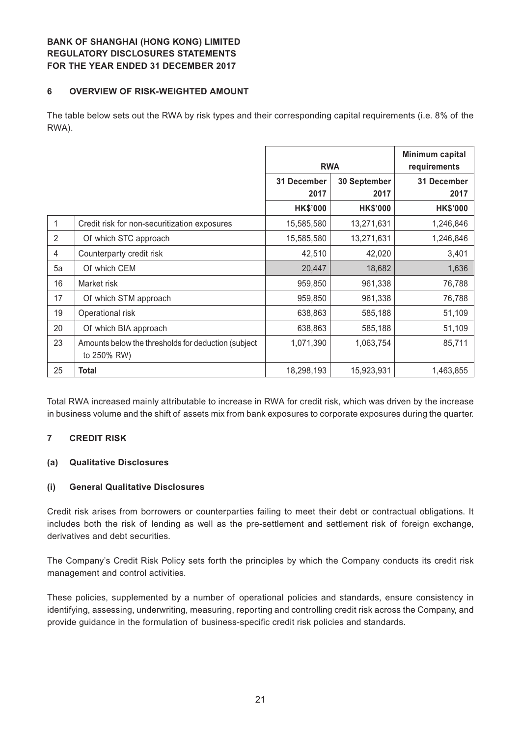### **6 OVERVIEW OF RISK-WEIGHTED AMOUNT**

The table below sets out the RWA by risk types and their corresponding capital requirements (i.e. 8% of the RWA).

|    |                                                                     |                     | <b>RWA</b>           |                     |
|----|---------------------------------------------------------------------|---------------------|----------------------|---------------------|
|    |                                                                     | 31 December<br>2017 | 30 September<br>2017 | 31 December<br>2017 |
|    |                                                                     | <b>HK\$'000</b>     | <b>HK\$'000</b>      | <b>HK\$'000</b>     |
|    | Credit risk for non-securitization exposures                        | 15,585,580          | 13,271,631           | 1,246,846           |
| 2  | Of which STC approach                                               | 15,585,580          | 13,271,631           | 1,246,846           |
| 4  | Counterparty credit risk                                            | 42,510              | 42,020               | 3,401               |
| 5a | Of which CEM                                                        | 20,447              | 18,682               | 1,636               |
| 16 | Market risk                                                         | 959,850             | 961,338              | 76,788              |
| 17 | Of which STM approach                                               | 959,850             | 961,338              | 76,788              |
| 19 | Operational risk                                                    | 638,863             | 585,188              | 51,109              |
| 20 | Of which BIA approach                                               | 638,863             | 585,188              | 51,109              |
| 23 | Amounts below the thresholds for deduction (subject)<br>to 250% RW) | 1,071,390           | 1,063,754            | 85,711              |
| 25 | <b>Total</b>                                                        | 18,298,193          | 15,923,931           | 1,463,855           |

Total RWA increased mainly attributable to increase in RWA for credit risk, which was driven by the increase in business volume and the shift of assets mix from bank exposures to corporate exposures during the quarter.

## **7 CREDIT RISK**

## **(a) Qualitative Disclosures**

#### **(i) General Qualitative Disclosures**

Credit risk arises from borrowers or counterparties failing to meet their debt or contractual obligations. It includes both the risk of lending as well as the pre-settlement and settlement risk of foreign exchange, derivatives and debt securities.

The Company's Credit Risk Policy sets forth the principles by which the Company conducts its credit risk management and control activities.

These policies, supplemented by a number of operational policies and standards, ensure consistency in identifying, assessing, underwriting, measuring, reporting and controlling credit risk across the Company, and provide guidance in the formulation of business-specific credit risk policies and standards.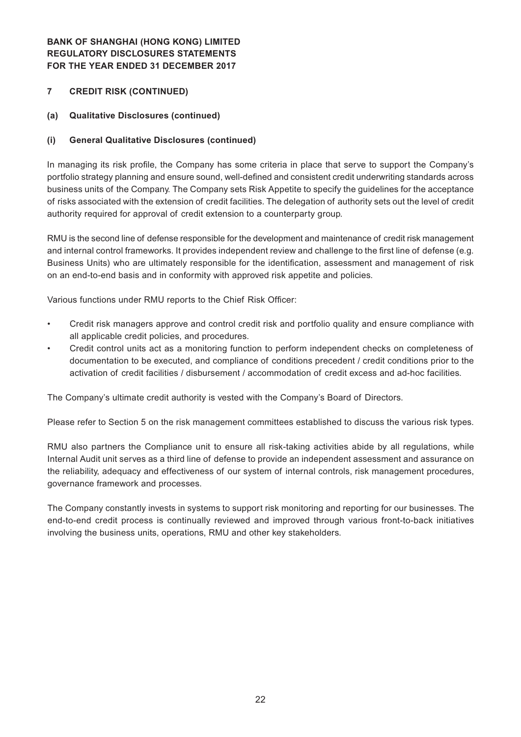## **7 CREDIT RISK (CONTINUED)**

## **(a) Qualitative Disclosures (continued)**

## **(i) General Qualitative Disclosures (continued)**

In managing its risk profile, the Company has some criteria in place that serve to support the Company's portfolio strategy planning and ensure sound, well-defined and consistent credit underwriting standards across business units of the Company. The Company sets Risk Appetite to specify the guidelines for the acceptance of risks associated with the extension of credit facilities. The delegation of authority sets out the level of credit authority required for approval of credit extension to a counterparty group.

RMU is the second line of defense responsible for the development and maintenance of credit risk management and internal control frameworks. It provides independent review and challenge to the first line of defense (e.g. Business Units) who are ultimately responsible for the identification, assessment and management of risk on an end-to-end basis and in conformity with approved risk appetite and policies.

Various functions under RMU reports to the Chief Risk Officer:

- Credit risk managers approve and control credit risk and portfolio quality and ensure compliance with all applicable credit policies, and procedures.
- Credit control units act as a monitoring function to perform independent checks on completeness of documentation to be executed, and compliance of conditions precedent / credit conditions prior to the activation of credit facilities / disbursement / accommodation of credit excess and ad-hoc facilities.

The Company's ultimate credit authority is vested with the Company's Board of Directors.

Please refer to Section 5 on the risk management committees established to discuss the various risk types.

RMU also partners the Compliance unit to ensure all risk-taking activities abide by all regulations, while Internal Audit unit serves as a third line of defense to provide an independent assessment and assurance on the reliability, adequacy and effectiveness of our system of internal controls, risk management procedures, governance framework and processes.

The Company constantly invests in systems to support risk monitoring and reporting for our businesses. The end-to-end credit process is continually reviewed and improved through various front-to-back initiatives involving the business units, operations, RMU and other key stakeholders.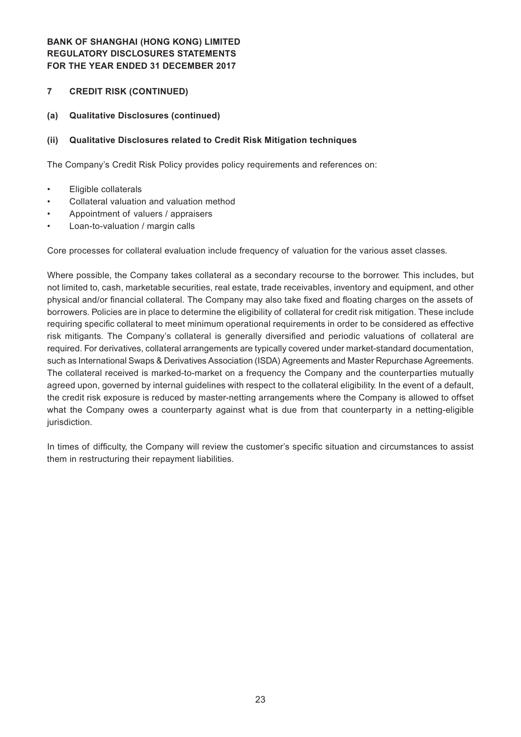## **7 CREDIT RISK (CONTINUED)**

## **(a) Qualitative Disclosures (continued)**

#### **(ii) Qualitative Disclosures related to Credit Risk Mitigation techniques**

The Company's Credit Risk Policy provides policy requirements and references on:

- • Eligible collaterals
- Collateral valuation and valuation method
- Appointment of valuers / appraisers
- Loan-to-valuation / margin calls

Core processes for collateral evaluation include frequency of valuation for the various asset classes.

Where possible, the Company takes collateral as a secondary recourse to the borrower. This includes, but not limited to, cash, marketable securities, real estate, trade receivables, inventory and equipment, and other physical and/or financial collateral. The Company may also take fixed and floating charges on the assets of borrowers. Policies are in place to determine the eligibility of collateral for credit risk mitigation. These include requiring specific collateral to meet minimum operational requirements in order to be considered as effective risk mitigants. The Company's collateral is generally diversified and periodic valuations of collateral are required. For derivatives, collateral arrangements are typically covered under market-standard documentation, such as International Swaps & Derivatives Association (ISDA) Agreements and Master Repurchase Agreements. The collateral received is marked-to-market on a frequency the Company and the counterparties mutually agreed upon, governed by internal guidelines with respect to the collateral eligibility. In the event of a default, the credit risk exposure is reduced by master-netting arrangements where the Company is allowed to offset what the Company owes a counterparty against what is due from that counterparty in a netting-eligible jurisdiction.

In times of difficulty, the Company will review the customer's specific situation and circumstances to assist them in restructuring their repayment liabilities.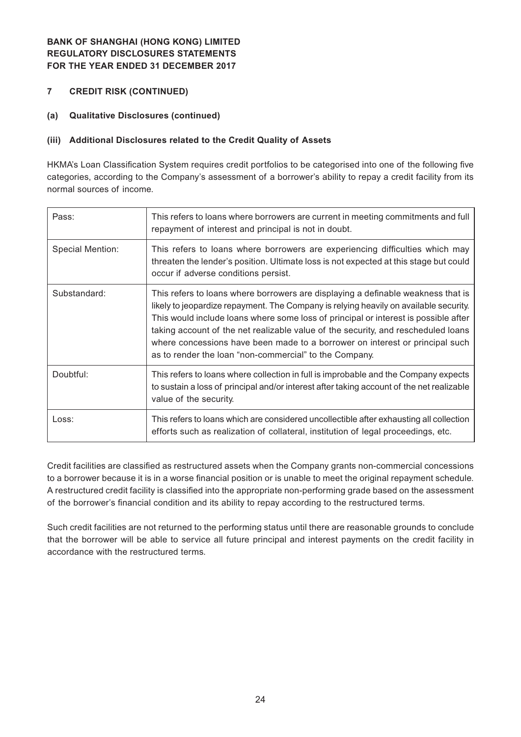- **7 CREDIT RISK (CONTINUED)**
- **(a) Qualitative Disclosures (continued)**

## **(iii) Additional Disclosures related to the Credit Quality of Assets**

HKMA's Loan Classification System requires credit portfolios to be categorised into one of the following five categories, according to the Company's assessment of a borrower's ability to repay a credit facility from its normal sources of income.

| Pass:            | This refers to loans where borrowers are current in meeting commitments and full<br>repayment of interest and principal is not in doubt.                                                                                                                                                                                                                                                                                                                                                        |
|------------------|-------------------------------------------------------------------------------------------------------------------------------------------------------------------------------------------------------------------------------------------------------------------------------------------------------------------------------------------------------------------------------------------------------------------------------------------------------------------------------------------------|
| Special Mention: | This refers to loans where borrowers are experiencing difficulties which may<br>threaten the lender's position. Ultimate loss is not expected at this stage but could<br>occur if adverse conditions persist.                                                                                                                                                                                                                                                                                   |
| Substandard:     | This refers to loans where borrowers are displaying a definable weakness that is<br>likely to jeopardize repayment. The Company is relying heavily on available security.<br>This would include loans where some loss of principal or interest is possible after<br>taking account of the net realizable value of the security, and rescheduled loans<br>where concessions have been made to a borrower on interest or principal such<br>as to render the loan "non-commercial" to the Company. |
| Doubtful:        | This refers to loans where collection in full is improbable and the Company expects<br>to sustain a loss of principal and/or interest after taking account of the net realizable<br>value of the security.                                                                                                                                                                                                                                                                                      |
| Loss:            | This refers to loans which are considered uncollectible after exhausting all collection<br>efforts such as realization of collateral, institution of legal proceedings, etc.                                                                                                                                                                                                                                                                                                                    |

Credit facilities are classified as restructured assets when the Company grants non-commercial concessions to a borrower because it is in a worse financial position or is unable to meet the original repayment schedule. A restructured credit facility is classified into the appropriate non-performing grade based on the assessment of the borrower's financial condition and its ability to repay according to the restructured terms.

Such credit facilities are not returned to the performing status until there are reasonable grounds to conclude that the borrower will be able to service all future principal and interest payments on the credit facility in accordance with the restructured terms.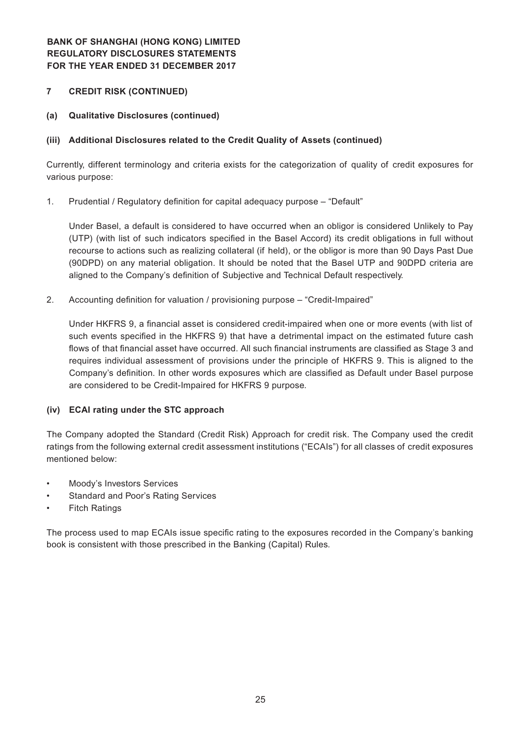## **7 CREDIT RISK (CONTINUED)**

**(a) Qualitative Disclosures (continued)**

## **(iii) Additional Disclosures related to the Credit Quality of Assets (continued)**

Currently, different terminology and criteria exists for the categorization of quality of credit exposures for various purpose:

1. Prudential / Regulatory definition for capital adequacy purpose – "Default"

Under Basel, a default is considered to have occurred when an obligor is considered Unlikely to Pay (UTP) (with list of such indicators specified in the Basel Accord) its credit obligations in full without recourse to actions such as realizing collateral (if held), or the obligor is more than 90 Days Past Due (90DPD) on any material obligation. It should be noted that the Basel UTP and 90DPD criteria are aligned to the Company's definition of Subjective and Technical Default respectively.

2. Accounting definition for valuation / provisioning purpose – "Credit-Impaired"

Under HKFRS 9, a financial asset is considered credit-impaired when one or more events (with list of such events specified in the HKFRS 9) that have a detrimental impact on the estimated future cash flows of that financial asset have occurred. All such financial instruments are classified as Stage 3 and requires individual assessment of provisions under the principle of HKFRS 9. This is aligned to the Company's definition. In other words exposures which are classified as Default under Basel purpose are considered to be Credit-Impaired for HKFRS 9 purpose.

## **(iv) ECAI rating under the STC approach**

The Company adopted the Standard (Credit Risk) Approach for credit risk. The Company used the credit ratings from the following external credit assessment institutions ("ECAIs") for all classes of credit exposures mentioned below:

- Moody's Investors Services
- Standard and Poor's Rating Services
- **Fitch Ratings**

The process used to map ECAIs issue specific rating to the exposures recorded in the Company's banking book is consistent with those prescribed in the Banking (Capital) Rules.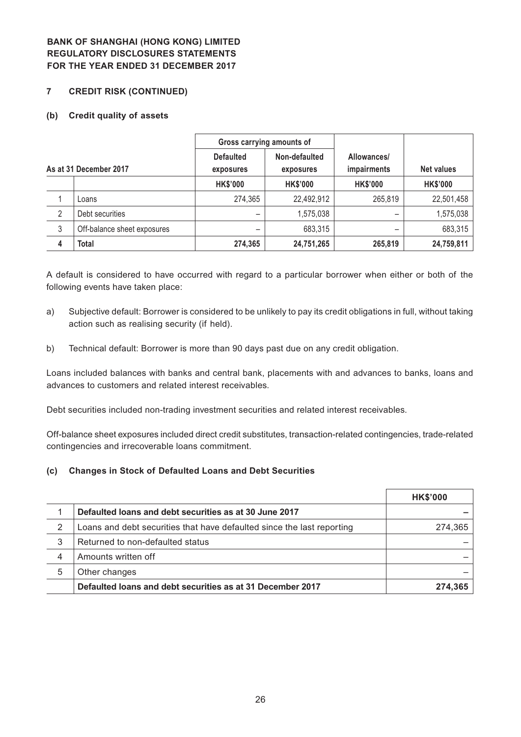#### **7 CREDIT RISK (CONTINUED)**

#### **(b) Credit quality of assets**

|   |                             | Gross carrying amounts of |                 |                    |                   |
|---|-----------------------------|---------------------------|-----------------|--------------------|-------------------|
|   |                             | <b>Defaulted</b>          | Non-defaulted   | Allowances/        |                   |
|   | As at 31 December 2017      | exposures                 | exposures       | <i>impairments</i> | <b>Net values</b> |
|   |                             | <b>HK\$'000</b>           | <b>HK\$'000</b> | <b>HK\$'000</b>    | <b>HK\$'000</b>   |
|   | Loans                       | 274,365                   | 22,492,912      | 265,819            | 22,501,458        |
| 2 | Debt securities             |                           | 1,575,038       |                    | 1,575,038         |
| 3 | Off-balance sheet exposures |                           | 683,315         |                    | 683,315           |
| 4 | Total                       | 274,365                   | 24,751,265      | 265,819            | 24,759,811        |

A default is considered to have occurred with regard to a particular borrower when either or both of the following events have taken place:

- a) Subjective default: Borrower is considered to be unlikely to pay its credit obligations in full, without taking action such as realising security (if held).
- b) Technical default: Borrower is more than 90 days past due on any credit obligation.

Loans included balances with banks and central bank, placements with and advances to banks, loans and advances to customers and related interest receivables.

Debt securities included non-trading investment securities and related interest receivables.

Off-balance sheet exposures included direct credit substitutes, transaction-related contingencies, trade-related contingencies and irrecoverable loans commitment.

#### **(c) Changes in Stock of Defaulted Loans and Debt Securities**

|   |                                                                        | <b>HK\$'000</b> |
|---|------------------------------------------------------------------------|-----------------|
|   | Defaulted loans and debt securities as at 30 June 2017                 |                 |
| 2 | Loans and debt securities that have defaulted since the last reporting | 274,365         |
| 3 | Returned to non-defaulted status                                       |                 |
| 4 | Amounts written off                                                    |                 |
| 5 | Other changes                                                          |                 |
|   | Defaulted loans and debt securities as at 31 December 2017             | 274.365         |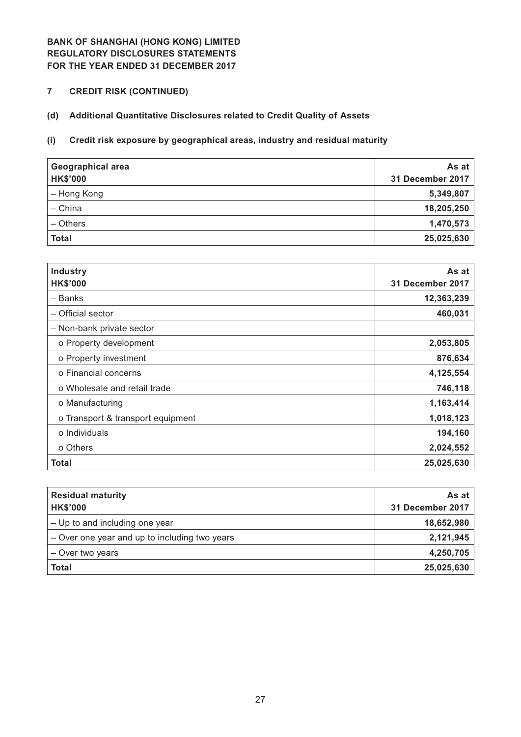**7 CREDIT RISK (CONTINUED)**

# **(d) Additional Quantitative Disclosures related to Credit Quality of Assets**

## **(i) Credit risk exposure by geographical areas, industry and residual maturity**

| <b>Geographical area</b><br><b>HK\$'000</b> | As at<br>31 December 2017 |
|---------------------------------------------|---------------------------|
| - Hong Kong                                 | 5,349,807                 |
| - China                                     | 18,205,250                |
| - Others                                    | 1,470,573                 |
| <b>Total</b>                                | 25,025,630                |

| <b>Industry</b><br><b>HK\$'000</b> | As at<br>31 December 2017 |
|------------------------------------|---------------------------|
| - Banks                            | 12,363,239                |
| - Official sector                  | 460,031                   |
| - Non-bank private sector          |                           |
| o Property development             | 2,053,805                 |
| o Property investment              | 876,634                   |
| o Financial concerns               | 4,125,554                 |
| o Wholesale and retail trade       | 746,118                   |
| o Manufacturing                    | 1,163,414                 |
| o Transport & transport equipment  | 1,018,123                 |
| o Individuals                      | 194,160                   |
| o Others                           | 2,024,552                 |
| Total                              | 25,025,630                |

| <b>Residual maturity</b>                      | As at            |
|-----------------------------------------------|------------------|
| <b>HK\$'000</b>                               | 31 December 2017 |
| - Up to and including one year                | 18,652,980       |
| - Over one year and up to including two years | 2,121,945        |
| - Over two years                              | 4,250,705        |
| <b>Total</b>                                  | 25,025,630       |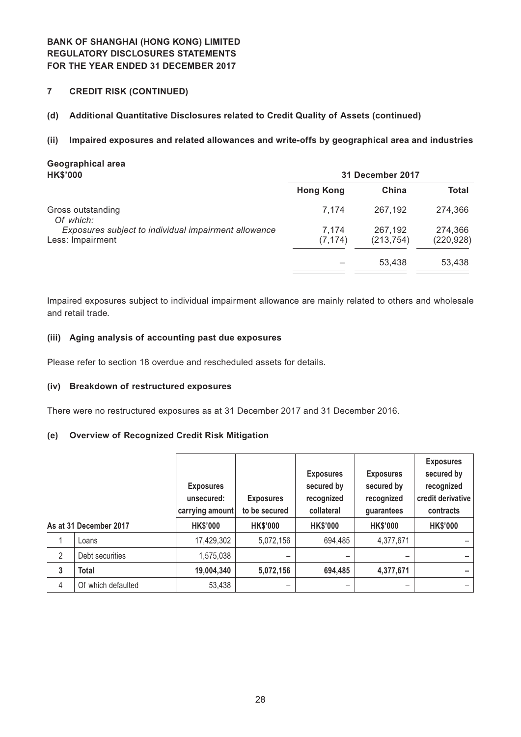**7 CREDIT RISK (CONTINUED)**

## **(d) Additional Quantitative Disclosures related to Credit Quality of Assets (continued)**

#### **(ii) Impaired exposures and related allowances and write-offs by geographical area and industries**

| Geographical area<br><b>HK\$'000</b>                                     |                   | 31 December 2017      |                       |
|--------------------------------------------------------------------------|-------------------|-----------------------|-----------------------|
|                                                                          | <b>Hong Kong</b>  | China                 | <b>Total</b>          |
| Gross outstanding<br>Of which:                                           | 7.174             | 267.192               | 274.366               |
| Exposures subject to individual impairment allowance<br>Less: Impairment | 7.174<br>(7, 174) | 267,192<br>(213, 754) | 274,366<br>(220, 928) |
|                                                                          |                   | 53,438                | 53,438                |

Impaired exposures subject to individual impairment allowance are mainly related to others and wholesale and retail trade.

#### **(iii) Aging analysis of accounting past due exposures**

Please refer to section 18 overdue and rescheduled assets for details.

#### **(iv) Breakdown of restructured exposures**

There were no restructured exposures as at 31 December 2017 and 31 December 2016.

#### **(e) Overview of Recognized Credit Risk Mitigation**

|              |                        | <b>Exposures</b><br>unsecured:<br>carrying amount | <b>Exposures</b><br>to be secured | <b>Exposures</b><br>secured by<br>recognized<br>collateral | <b>Exposures</b><br>secured by<br>recognized<br>guarantees | <b>Exposures</b><br>secured by<br>recognized<br>credit derivative<br>contracts |
|--------------|------------------------|---------------------------------------------------|-----------------------------------|------------------------------------------------------------|------------------------------------------------------------|--------------------------------------------------------------------------------|
|              | As at 31 December 2017 | <b>HK\$'000</b>                                   | <b>HK\$'000</b>                   | <b>HK\$'000</b>                                            | <b>HK\$'000</b>                                            | <b>HK\$'000</b>                                                                |
|              | Loans                  | 17,429,302                                        | 5,072,156                         | 694,485                                                    | 4,377,671                                                  |                                                                                |
| 2            | Debt securities        | 1,575,038                                         |                                   |                                                            |                                                            |                                                                                |
| $\mathbf{3}$ | <b>Total</b>           | 19,004,340                                        | 5,072,156                         | 694,485                                                    | 4,377,671                                                  |                                                                                |
| 4            | Of which defaulted     | 53,438                                            |                                   |                                                            |                                                            |                                                                                |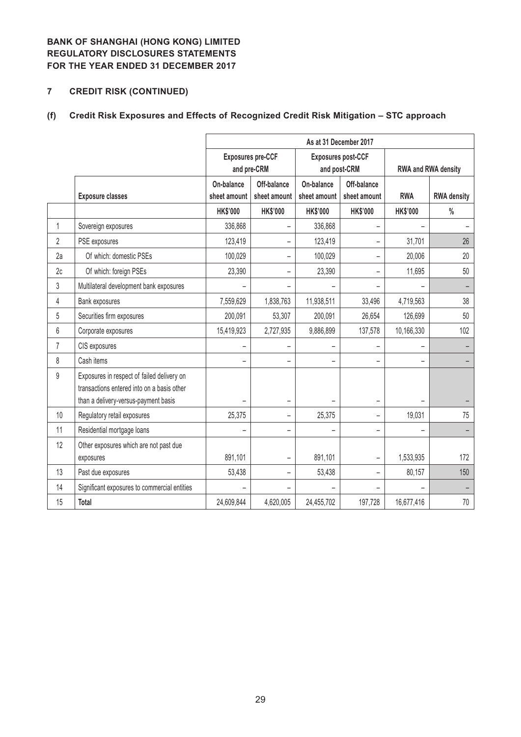# **7 CREDIT RISK (CONTINUED)**

# **(f) Credit Risk Exposures and Effects of Recognized Credit Risk Mitigation – STC approach**

|                |                                                                                                                                  | As at 31 December 2017     |                             |                                                           |                                           |                     |                    |  |
|----------------|----------------------------------------------------------------------------------------------------------------------------------|----------------------------|-----------------------------|-----------------------------------------------------------|-------------------------------------------|---------------------|--------------------|--|
|                |                                                                                                                                  | and pre-CRM                | <b>Exposures pre-CCF</b>    |                                                           | <b>Exposures post-CCF</b><br>and post-CRM | RWA and RWA density |                    |  |
|                | <b>Exposure classes</b>                                                                                                          | On-balance<br>sheet amount | Off-balance<br>sheet amount | On-balance<br>Off-balance<br>sheet amount<br>sheet amount |                                           | <b>RWA</b>          | <b>RWA density</b> |  |
|                |                                                                                                                                  | <b>HK\$'000</b>            | <b>HK\$'000</b>             | <b>HK\$'000</b>                                           | <b>HK\$'000</b>                           | <b>HK\$'000</b>     | $\frac{0}{0}$      |  |
| $\mathbf{1}$   | Sovereign exposures                                                                                                              | 336,868                    | -                           | 336,868                                                   |                                           |                     |                    |  |
| $\overline{2}$ | PSE exposures                                                                                                                    | 123,419                    | $\overline{\phantom{0}}$    | 123,419                                                   |                                           | 31,701              | 26                 |  |
| 2a             | Of which: domestic PSEs                                                                                                          | 100,029                    | -                           | 100,029                                                   |                                           | 20,006              | 20                 |  |
| 2c             | Of which: foreign PSEs                                                                                                           | 23,390                     | $\overline{\phantom{0}}$    | 23,390                                                    |                                           | 11,695              | 50                 |  |
| 3              | Multilateral development bank exposures                                                                                          |                            | $\overline{\phantom{0}}$    |                                                           |                                           |                     |                    |  |
| 4              | Bank exposures                                                                                                                   | 7,559,629                  | 1,838,763                   | 11,938,511                                                | 33,496                                    | 4,719,563           | 38                 |  |
| 5              | Securities firm exposures                                                                                                        | 200,091                    | 53,307                      | 200,091                                                   | 26,654                                    | 126,699             | 50                 |  |
| $6\phantom{a}$ | Corporate exposures                                                                                                              | 15,419,923                 | 2,727,935                   | 9,886,899                                                 | 137,578                                   | 10,166,330          | 102                |  |
| 7              | CIS exposures                                                                                                                    |                            | $\overline{\phantom{0}}$    |                                                           |                                           |                     |                    |  |
| 8              | Cash items                                                                                                                       | $\equiv$                   | $\overline{\phantom{0}}$    | $\equiv$                                                  |                                           |                     |                    |  |
| 9              | Exposures in respect of failed delivery on<br>transactions entered into on a basis other<br>than a delivery-versus-payment basis |                            | $\overline{\phantom{0}}$    |                                                           |                                           |                     |                    |  |
| 10             | Regulatory retail exposures                                                                                                      | 25,375                     | $\overline{\phantom{0}}$    | 25,375                                                    | $\qquad \qquad -$                         | 19,031              | 75                 |  |
| 11             | Residential mortgage loans                                                                                                       |                            | -                           |                                                           | $\qquad \qquad -$                         |                     | -                  |  |
| 12             | Other exposures which are not past due<br>exposures                                                                              | 891,101                    | -                           | 891,101                                                   |                                           | 1,533,935           | 172                |  |
| 13             | Past due exposures                                                                                                               | 53,438                     | -                           | 53,438                                                    | $\overline{\phantom{0}}$                  | 80,157              | 150                |  |
| 14             | Significant exposures to commercial entities                                                                                     |                            | -                           |                                                           |                                           |                     |                    |  |
| 15             | Total                                                                                                                            | 24,609,844                 | 4,620,005                   | 24,455,702                                                | 197,728                                   | 16,677,416          | 70                 |  |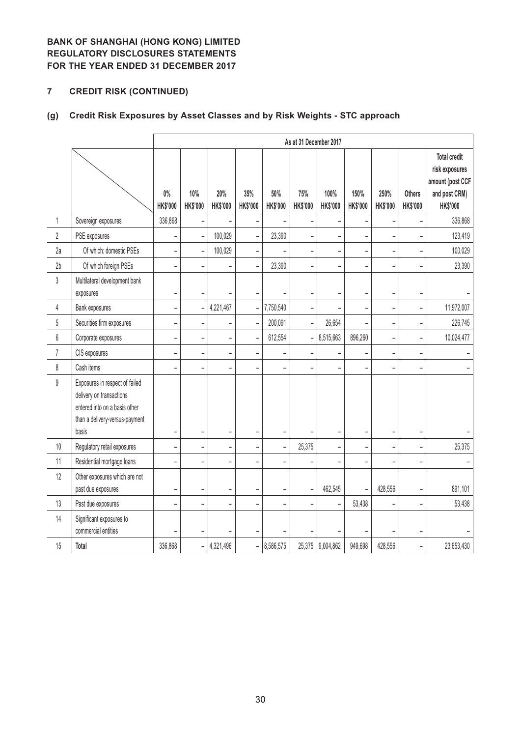# **7 CREDIT RISK (CONTINUED)**

# **(g) Credit Risk Exposures by Asset Classes and by Risk Weights - STC approach**

|                |                                                                                                                                        |                              |                          |                          |                          |                          | As at 31 December 2017   |                   |                          |                          |                           |                                                                                        |
|----------------|----------------------------------------------------------------------------------------------------------------------------------------|------------------------------|--------------------------|--------------------------|--------------------------|--------------------------|--------------------------|-------------------|--------------------------|--------------------------|---------------------------|----------------------------------------------------------------------------------------|
|                |                                                                                                                                        | $0\%$<br><b>HK\$'000</b>     | 10%<br>HK\$'000          | 20%<br>HK\$'000          | 35%<br><b>HK\$'000</b>   | 50%<br><b>HK\$'000</b>   | 75%<br><b>HK\$'000</b>   | 100%<br>HK\$'000  | 150%<br>HK\$'000         | 250%<br><b>HK\$'000</b>  | <b>Others</b><br>HK\$'000 | <b>Total credit</b><br>risk exposures<br>amount (post CCF<br>and post CRM)<br>HK\$'000 |
| $\mathbf 1$    | Sovereign exposures                                                                                                                    | 336,868                      | L.                       |                          |                          |                          | $\overline{a}$           | L                 | L.                       |                          |                           | 336,868                                                                                |
| $\overline{2}$ | PSE exposures                                                                                                                          | $\overline{\phantom{0}}$     | $\overline{a}$           | 100,029                  | $\overline{a}$           | 23,390                   | $\overline{a}$           |                   | $\overline{a}$           |                          |                           | 123,419                                                                                |
| 2a             | Of which: domestic PSEs                                                                                                                | $\qquad \qquad \blacksquare$ | $\overline{a}$           | 100,029                  | $\overline{a}$           |                          | $\overline{\phantom{0}}$ | $\qquad \qquad -$ | $\overline{\phantom{0}}$ | $\overline{\phantom{0}}$ |                           | 100,029                                                                                |
| 2b             | Of which foreign PSEs                                                                                                                  | $\overline{a}$               | $\overline{a}$           | $\overline{\phantom{a}}$ | $\overline{a}$           | 23,390                   | $\overline{a}$           | L                 | L                        |                          |                           | 23,390                                                                                 |
| 3              | Multilateral development bank<br>exposures                                                                                             | $\overline{a}$               | $\overline{\phantom{0}}$ |                          |                          |                          | -                        |                   | ÷                        |                          |                           |                                                                                        |
| 4              | Bank exposures                                                                                                                         | $\overline{\phantom{0}}$     | $\overline{a}$           | 4,221,467                | $\bar{ }$                | 7,750,540                | $\overline{a}$           | L                 | $\overline{\phantom{0}}$ | ÷                        | $\overline{\phantom{0}}$  | 11,972,007                                                                             |
| 5              | Securities firm exposures                                                                                                              | -                            | $\overline{\phantom{0}}$ | $\overline{\phantom{0}}$ | $\overline{\phantom{0}}$ | 200,091                  | $\overline{\phantom{a}}$ | 26,654            |                          | L,                       |                           | 226,745                                                                                |
| 6              | Corporate exposures                                                                                                                    | $\overline{a}$               | $\overline{a}$           | $\overline{\phantom{0}}$ | $\overline{a}$           | 612,554                  | $\frac{1}{\sqrt{2}}$     | 8,515,663         | 896,260                  | $\overline{a}$           | -                         | 10,024,477                                                                             |
| $\overline{1}$ | CIS exposures                                                                                                                          | $\overline{a}$               | $\overline{a}$           | $\overline{\phantom{a}}$ | $\overline{a}$           |                          | $\overline{a}$           |                   | $\overline{a}$           | L                        | $\overline{a}$            |                                                                                        |
| 8              | Cash items                                                                                                                             | ÷                            |                          | $\overline{\phantom{0}}$ |                          |                          | L                        |                   |                          |                          |                           |                                                                                        |
| 9              | Exposures in respect of failed<br>delivery on transactions<br>entered into on a basis other<br>than a delivery-versus-payment<br>basis | Ĭ.                           | ÷                        | $\overline{\phantom{a}}$ |                          |                          |                          |                   | L,                       |                          |                           |                                                                                        |
| $10\,$         | Regulatory retail exposures                                                                                                            | $\overline{\phantom{0}}$     | $\overline{\phantom{0}}$ | $\blacksquare$           | $\bar{\phantom{a}}$      | $\overline{\phantom{0}}$ | 25,375                   | ÷,                | -                        | $\overline{a}$           | ÷,                        | 25,375                                                                                 |
| 11             | Residential mortgage loans                                                                                                             | $\overline{\phantom{0}}$     | $\overline{\phantom{0}}$ | $\qquad \qquad -$        | $\overline{a}$           |                          | $\overline{\phantom{0}}$ |                   | $\overline{\phantom{0}}$ |                          |                           |                                                                                        |
| 12             | Other exposures which are not<br>past due exposures                                                                                    | $\overline{a}$               | $\overline{a}$           | $\overline{\phantom{a}}$ |                          |                          | $\qquad \qquad -$        | 462,545           |                          | 428,556                  |                           | 891,101                                                                                |
| 13             | Past due exposures                                                                                                                     | $\overline{\phantom{0}}$     | $\overline{\phantom{a}}$ | $\overline{\phantom{a}}$ | $\overline{\phantom{a}}$ | $\overline{\phantom{a}}$ | $\overline{\phantom{a}}$ | $\overline{a}$    | 53,438                   |                          | $\overline{\phantom{0}}$  | 53,438                                                                                 |
| 14             | Significant exposures to<br>commercial entities                                                                                        |                              | $\overline{a}$           |                          |                          |                          | L                        |                   |                          |                          |                           |                                                                                        |
| 15             | Total                                                                                                                                  | 336,868                      | $\overline{a}$           | 4,321,496                | $\frac{1}{2}$            | 8,586,575                | 25,375                   | 9,004,862         | 949,698                  | 428,556                  | $\overline{\phantom{0}}$  | 23,653,430                                                                             |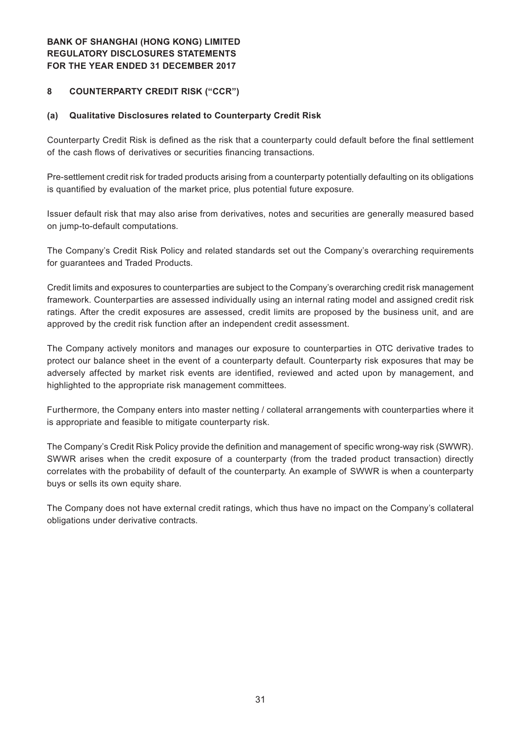## **8 COUNTERPARTY CREDIT RISK ("CCR")**

#### **(a) Qualitative Disclosures related to Counterparty Credit Risk**

Counterparty Credit Risk is defined as the risk that a counterparty could default before the final settlement of the cash flows of derivatives or securities financing transactions.

Pre-settlement credit risk for traded products arising from a counterparty potentially defaulting on its obligations is quantified by evaluation of the market price, plus potential future exposure.

Issuer default risk that may also arise from derivatives, notes and securities are generally measured based on jump-to-default computations.

The Company's Credit Risk Policy and related standards set out the Company's overarching requirements for guarantees and Traded Products.

Credit limits and exposures to counterparties are subject to the Company's overarching credit risk management framework. Counterparties are assessed individually using an internal rating model and assigned credit risk ratings. After the credit exposures are assessed, credit limits are proposed by the business unit, and are approved by the credit risk function after an independent credit assessment.

The Company actively monitors and manages our exposure to counterparties in OTC derivative trades to protect our balance sheet in the event of a counterparty default. Counterparty risk exposures that may be adversely affected by market risk events are identified, reviewed and acted upon by management, and highlighted to the appropriate risk management committees.

Furthermore, the Company enters into master netting / collateral arrangements with counterparties where it is appropriate and feasible to mitigate counterparty risk.

The Company's Credit Risk Policy provide the definition and management of specific wrong-way risk (SWWR). SWWR arises when the credit exposure of a counterparty (from the traded product transaction) directly correlates with the probability of default of the counterparty. An example of SWWR is when a counterparty buys or sells its own equity share.

The Company does not have external credit ratings, which thus have no impact on the Company's collateral obligations under derivative contracts.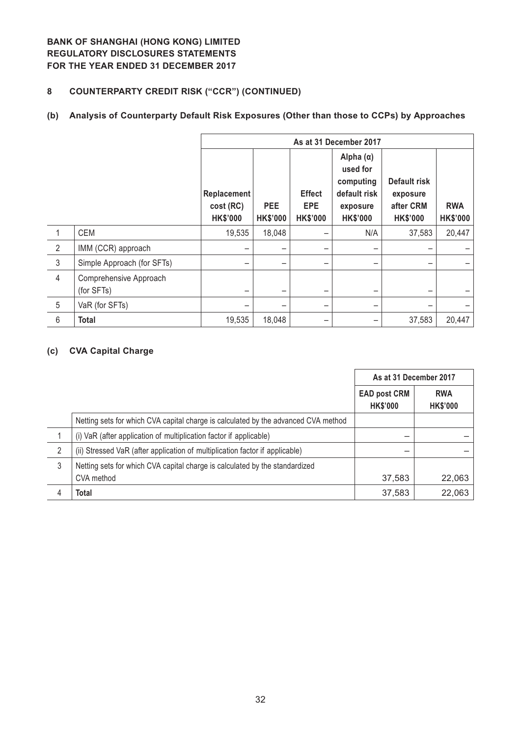# **8 COUNTERPARTY CREDIT RISK ("CCR") (CONTINUED)**

## **(b) Analysis of Counterparty Default Risk Exposures (Other than those to CCPs) by Approaches**

|                |                                      | As at 31 December 2017                      |                               |                                                |                                                                                          |                                                          |                               |  |  |
|----------------|--------------------------------------|---------------------------------------------|-------------------------------|------------------------------------------------|------------------------------------------------------------------------------------------|----------------------------------------------------------|-------------------------------|--|--|
|                |                                      | Replacement<br>cost (RC)<br><b>HK\$'000</b> | <b>PEE</b><br><b>HK\$'000</b> | <b>Effect</b><br><b>EPE</b><br><b>HK\$'000</b> | Alpha $(\alpha)$<br>used for<br>computing<br>default risk<br>exposure<br><b>HK\$'000</b> | Default risk<br>exposure<br>after CRM<br><b>HK\$'000</b> | <b>RWA</b><br><b>HK\$'000</b> |  |  |
|                | <b>CEM</b>                           | 19,535                                      | 18,048                        |                                                | N/A                                                                                      | 37,583                                                   | 20,447                        |  |  |
| 2              | IMM (CCR) approach                   |                                             | $\overline{\phantom{m}}$      |                                                | $\qquad \qquad$                                                                          |                                                          |                               |  |  |
| $\mathfrak{Z}$ | Simple Approach (for SFTs)           |                                             | -                             |                                                | -                                                                                        | -                                                        |                               |  |  |
| $\overline{4}$ | Comprehensive Approach<br>(for SFTs) |                                             | -                             |                                                | $\overline{\phantom{0}}$                                                                 |                                                          |                               |  |  |
| 5              | VaR (for SFTs)                       |                                             |                               |                                                | -                                                                                        |                                                          |                               |  |  |
| 6              | <b>Total</b>                         | 19,535                                      | 18,048                        |                                                |                                                                                          | 37,583                                                   | 20,447                        |  |  |

## **(c) CVA Capital Charge**

|   |                                                                                    | As at 31 December 2017                 |                               |
|---|------------------------------------------------------------------------------------|----------------------------------------|-------------------------------|
|   |                                                                                    | <b>EAD post CRM</b><br><b>HK\$'000</b> | <b>RWA</b><br><b>HK\$'000</b> |
|   | Netting sets for which CVA capital charge is calculated by the advanced CVA method |                                        |                               |
|   | (i) VaR (after application of multiplication factor if applicable)                 |                                        |                               |
| 2 | (ii) Stressed VaR (after application of multiplication factor if applicable)       |                                        |                               |
| 3 | Netting sets for which CVA capital charge is calculated by the standardized        |                                        |                               |
|   | CVA method                                                                         | 37,583                                 | 22,063                        |
| 4 | Total                                                                              | 37,583                                 | 22,063                        |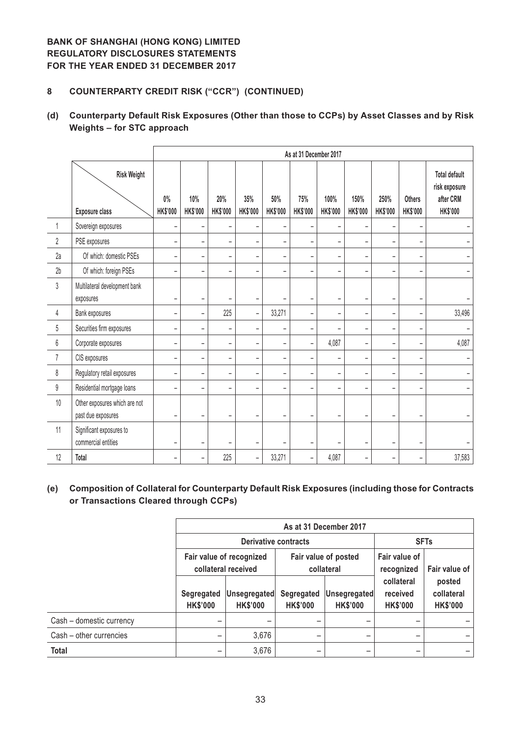## **8 COUNTERPARTY CREDIT RISK ("CCR") (CONTINUED)**

## **(d) Counterparty Default Risk Exposures (Other than those to CCPs) by Asset Classes and by Risk Weights – for STC approach**

|                |                                                     | As at 31 December 2017   |                          |                          |                              |                          |                          |                          |                          |                          |                                  |                                                                       |
|----------------|-----------------------------------------------------|--------------------------|--------------------------|--------------------------|------------------------------|--------------------------|--------------------------|--------------------------|--------------------------|--------------------------|----------------------------------|-----------------------------------------------------------------------|
|                | <b>Risk Weight</b><br><b>Exposure class</b>         | $0\%$<br>HK\$'000        | 10%<br><b>HK\$'000</b>   | 20%<br><b>HK\$'000</b>   | 35%<br><b>HK\$'000</b>       | 50%<br><b>HK\$'000</b>   | 75%<br><b>HK\$'000</b>   | 100%<br><b>HK\$'000</b>  | 150%<br><b>HK\$'000</b>  | 250%<br><b>HK\$'000</b>  | <b>Others</b><br><b>HK\$'000</b> | <b>Total default</b><br>risk exposure<br>after CRM<br><b>HK\$'000</b> |
| 1              | Sovereign exposures                                 | $\overline{\phantom{a}}$ | -                        | -                        |                              | -                        | $\overline{\phantom{a}}$ |                          | -                        |                          |                                  |                                                                       |
| 2              | PSE exposures                                       | $\qquad \qquad -$        | -                        | $\qquad \qquad -$        | -                            | -                        | $\overline{\phantom{a}}$ |                          | $\qquad \qquad -$        |                          |                                  |                                                                       |
| 2a             | Of which: domestic PSEs                             | $\overline{\phantom{a}}$ | -                        | $\overline{\phantom{0}}$ | -                            | $\qquad \qquad -$        | $\overline{\phantom{a}}$ | -                        | $\qquad \qquad -$        | L                        | $\overline{\phantom{a}}$         |                                                                       |
| 2 <sub>b</sub> | Of which: foreign PSEs                              | $\qquad \qquad -$        | ۳                        | $\overline{\phantom{0}}$ | ۳                            | $\overline{\phantom{0}}$ | $\overline{\phantom{0}}$ |                          | $\overline{\phantom{0}}$ |                          | -                                |                                                                       |
| 3              | Multilateral development bank<br>exposures          | $\overline{\phantom{a}}$ | $\qquad \qquad -$        | ۳                        | $\qquad \qquad -$            | $\qquad \qquad -$        | $\overline{\phantom{a}}$ | -                        | $\qquad \qquad -$        | $\overline{\phantom{0}}$ | $\overline{\phantom{0}}$         |                                                                       |
| 4              | Bank exposures                                      | $\qquad \qquad -$        | -                        | 225                      | $\overline{\phantom{a}}$     | 33,271                   | $\qquad \qquad -$        | -                        | $\overline{\phantom{0}}$ |                          |                                  | 33,496                                                                |
| 5              | Securities firm exposures                           | $\overline{\phantom{a}}$ | -                        | $\qquad \qquad -$        | -                            |                          | $\overline{\phantom{a}}$ | -                        | $\qquad \qquad -$        | −                        | $\overline{\phantom{a}}$         |                                                                       |
| $6\,$          | Corporate exposures                                 | $\blacksquare$           | -                        | $\overline{\phantom{0}}$ | $\overline{\phantom{0}}$     | $\overline{\phantom{0}}$ | $\overline{\phantom{a}}$ | 4,087                    | $\overline{\phantom{0}}$ | ۳                        | $\overline{\phantom{a}}$         | 4,087                                                                 |
| 7              | CIS exposures                                       | $\overline{\phantom{a}}$ | -                        | $\qquad \qquad -$        | -                            | $\overline{\phantom{a}}$ | $\overline{\phantom{a}}$ | -                        | $\qquad \qquad -$        | L                        | $\overline{\phantom{a}}$         |                                                                       |
| $\,$ 8 $\,$    | Regulatory retail exposures                         | $\overline{\phantom{a}}$ | $\overline{\phantom{0}}$ | -                        | $\qquad \qquad \blacksquare$ | $\overline{\phantom{0}}$ | $\overline{\phantom{a}}$ | $\overline{\phantom{a}}$ | -                        | ÷                        | $\qquad \qquad$                  |                                                                       |
| 9              | Residential mortgage loans                          | $\overline{\phantom{a}}$ | $\overline{\phantom{a}}$ | -                        | ۳                            | $=$                      | $\overline{\phantom{a}}$ | $\overline{\phantom{0}}$ | -                        |                          | $=$                              |                                                                       |
| 10             | Other exposures which are not<br>past due exposures | $\overline{\phantom{0}}$ | $\overline{\phantom{a}}$ | ۳                        | -                            | $\overline{\phantom{a}}$ | -                        | $\overline{\phantom{0}}$ | ۳                        | -                        | $\overline{\phantom{a}}$         |                                                                       |
| 11             | Significant exposures to<br>commercial entities     | -                        | -                        | -                        | $\overline{a}$               | $\qquad \qquad -$        | -                        | -                        | -                        | $\overline{\phantom{0}}$ | $\qquad \qquad -$                |                                                                       |
| 12             | <b>Total</b>                                        | $\overline{\phantom{m}}$ | -                        | 225                      | $\overline{\phantom{0}}$     | 33,271                   | $\overline{\phantom{a}}$ | 4,087                    | $\qquad \qquad -$        | -                        | $\qquad \qquad -$                | 37,583                                                                |

## **(e) Composition of Collateral for Counterparty Default Risk Exposures (including those for Contracts or Transactions Cleared through CCPs)**

|                          | As at 31 December 2017        |                                                 |                               |                                    |                                           |                                         |  |  |
|--------------------------|-------------------------------|-------------------------------------------------|-------------------------------|------------------------------------|-------------------------------------------|-----------------------------------------|--|--|
|                          |                               | Derivative contracts                            |                               |                                    | <b>SFTs</b>                               |                                         |  |  |
|                          |                               | Fair value of recognized<br>collateral received |                               | Fair value of posted<br>collateral | Fair value of<br>recognized               | Fair value of                           |  |  |
|                          | Segregated<br><b>HK\$'000</b> | Unsegregated<br><b>HK\$'000</b>                 | Segregated<br><b>HK\$'000</b> | Unsegregated<br><b>HK\$'000</b>    | collateral<br>received<br><b>HK\$'000</b> | posted<br>collateral<br><b>HK\$'000</b> |  |  |
| Cash - domestic currency |                               |                                                 |                               | -                                  |                                           |                                         |  |  |
| Cash - other currencies  |                               | 3,676                                           | -                             | -                                  |                                           |                                         |  |  |
| Total                    |                               | 3,676                                           | -                             | -                                  |                                           |                                         |  |  |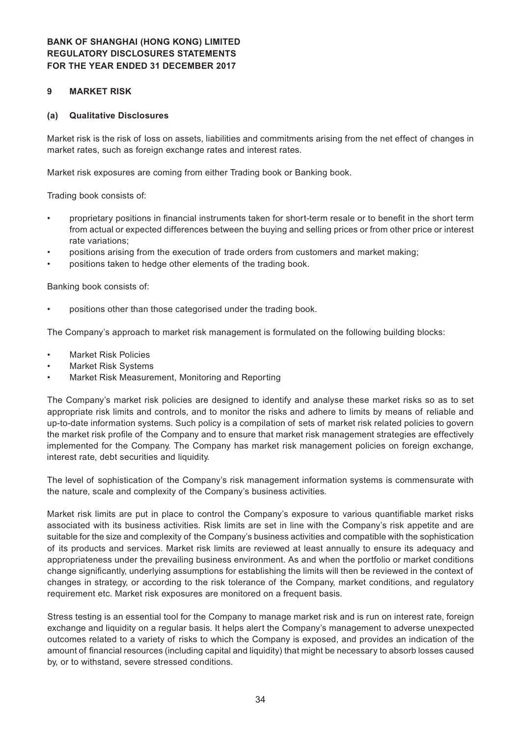#### **9 MARKET RISK**

#### **(a) Qualitative Disclosures**

Market risk is the risk of loss on assets, liabilities and commitments arising from the net effect of changes in market rates, such as foreign exchange rates and interest rates.

Market risk exposures are coming from either Trading book or Banking book.

Trading book consists of:

- proprietary positions in financial instruments taken for short-term resale or to benefit in the short term from actual or expected differences between the buying and selling prices or from other price or interest rate variations;
- positions arising from the execution of trade orders from customers and market making;
- positions taken to hedge other elements of the trading book.

Banking book consists of:

positions other than those categorised under the trading book.

The Company's approach to market risk management is formulated on the following building blocks:

- **Market Risk Policies**
- **Market Risk Systems**
- Market Risk Measurement, Monitoring and Reporting

The Company's market risk policies are designed to identify and analyse these market risks so as to set appropriate risk limits and controls, and to monitor the risks and adhere to limits by means of reliable and up-to-date information systems. Such policy is a compilation of sets of market risk related policies to govern the market risk profile of the Company and to ensure that market risk management strategies are effectively implemented for the Company. The Company has market risk management policies on foreign exchange, interest rate, debt securities and liquidity.

The level of sophistication of the Company's risk management information systems is commensurate with the nature, scale and complexity of the Company's business activities.

Market risk limits are put in place to control the Company's exposure to various quantifiable market risks associated with its business activities. Risk limits are set in line with the Company's risk appetite and are suitable for the size and complexity of the Company's business activities and compatible with the sophistication of its products and services. Market risk limits are reviewed at least annually to ensure its adequacy and appropriateness under the prevailing business environment. As and when the portfolio or market conditions change significantly, underlying assumptions for establishing the limits will then be reviewed in the context of changes in strategy, or according to the risk tolerance of the Company, market conditions, and regulatory requirement etc. Market risk exposures are monitored on a frequent basis.

Stress testing is an essential tool for the Company to manage market risk and is run on interest rate, foreign exchange and liquidity on a regular basis. It helps alert the Company's management to adverse unexpected outcomes related to a variety of risks to which the Company is exposed, and provides an indication of the amount of financial resources (including capital and liquidity) that might be necessary to absorb losses caused by, or to withstand, severe stressed conditions.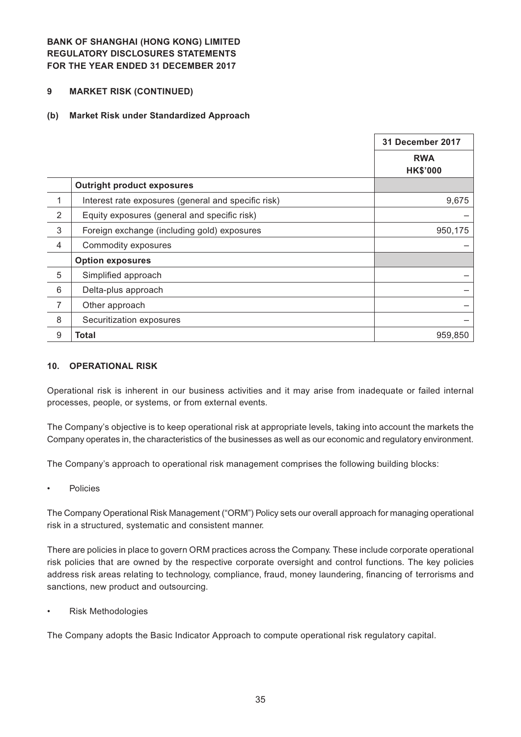#### **9 MARKET RISK (CONTINUED)**

#### **(b) Market Risk under Standardized Approach**

|                |                                                     | 31 December 2017              |
|----------------|-----------------------------------------------------|-------------------------------|
|                |                                                     | <b>RWA</b><br><b>HK\$'000</b> |
|                | <b>Outright product exposures</b>                   |                               |
| 1              | Interest rate exposures (general and specific risk) | 9,675                         |
| 2              | Equity exposures (general and specific risk)        |                               |
| 3              | Foreign exchange (including gold) exposures         | 950,175                       |
| 4              | Commodity exposures                                 |                               |
|                | <b>Option exposures</b>                             |                               |
| 5              | Simplified approach                                 |                               |
| 6              | Delta-plus approach                                 |                               |
| $\overline{7}$ | Other approach                                      |                               |
| 8              | Securitization exposures                            |                               |
| 9              | <b>Total</b>                                        | 959,850                       |

#### **10. OPERATIONAL RISK**

Operational risk is inherent in our business activities and it may arise from inadequate or failed internal processes, people, or systems, or from external events.

The Company's objective is to keep operational risk at appropriate levels, taking into account the markets the Company operates in, the characteristics of the businesses as well as our economic and regulatory environment.

The Company's approach to operational risk management comprises the following building blocks:

**Policies** 

The Company Operational Risk Management ("ORM") Policy sets our overall approach for managing operational risk in a structured, systematic and consistent manner.

There are policies in place to govern ORM practices across the Company. These include corporate operational risk policies that are owned by the respective corporate oversight and control functions. The key policies address risk areas relating to technology, compliance, fraud, money laundering, financing of terrorisms and sanctions, new product and outsourcing.

**Risk Methodologies** 

The Company adopts the Basic Indicator Approach to compute operational risk regulatory capital.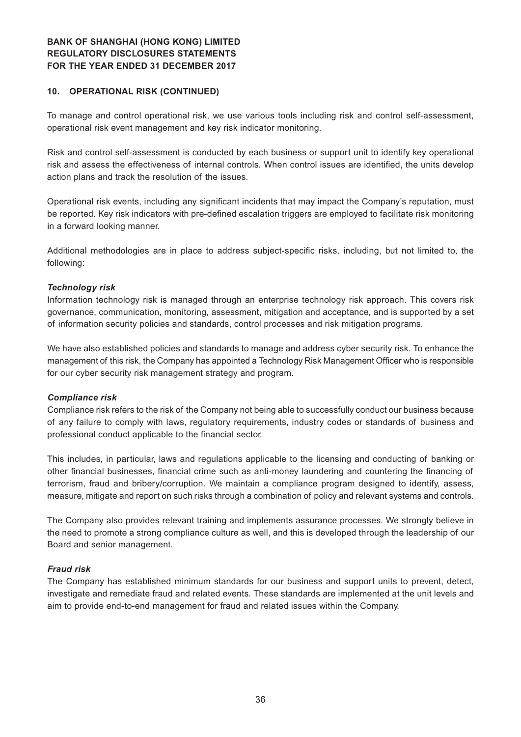#### **10. OPERATIONAL RISK (CONTINUED)**

To manage and control operational risk, we use various tools including risk and control self-assessment, operational risk event management and key risk indicator monitoring.

Risk and control self-assessment is conducted by each business or support unit to identify key operational risk and assess the effectiveness of internal controls. When control issues are identified, the units develop action plans and track the resolution of the issues.

Operational risk events, including any significant incidents that may impact the Company's reputation, must be reported. Key risk indicators with pre-defined escalation triggers are employed to facilitate risk monitoring in a forward looking manner.

Additional methodologies are in place to address subject-specific risks, including, but not limited to, the following:

#### *Technology risk*

Information technology risk is managed through an enterprise technology risk approach. This covers risk governance, communication, monitoring, assessment, mitigation and acceptance, and is supported by a set of information security policies and standards, control processes and risk mitigation programs.

We have also established policies and standards to manage and address cyber security risk. To enhance the management of this risk, the Company has appointed a Technology Risk Management Officer who is responsible for our cyber security risk management strategy and program.

#### *Compliance risk*

Compliance risk refers to the risk of the Company not being able to successfully conduct our business because of any failure to comply with laws, regulatory requirements, industry codes or standards of business and professional conduct applicable to the financial sector.

This includes, in particular, laws and regulations applicable to the licensing and conducting of banking or other financial businesses, financial crime such as anti-money laundering and countering the financing of terrorism, fraud and bribery/corruption. We maintain a compliance program designed to identify, assess, measure, mitigate and report on such risks through a combination of policy and relevant systems and controls.

The Company also provides relevant training and implements assurance processes. We strongly believe in the need to promote a strong compliance culture as well, and this is developed through the leadership of our Board and senior management.

#### *Fraud risk*

The Company has established minimum standards for our business and support units to prevent, detect, investigate and remediate fraud and related events. These standards are implemented at the unit levels and aim to provide end-to-end management for fraud and related issues within the Company.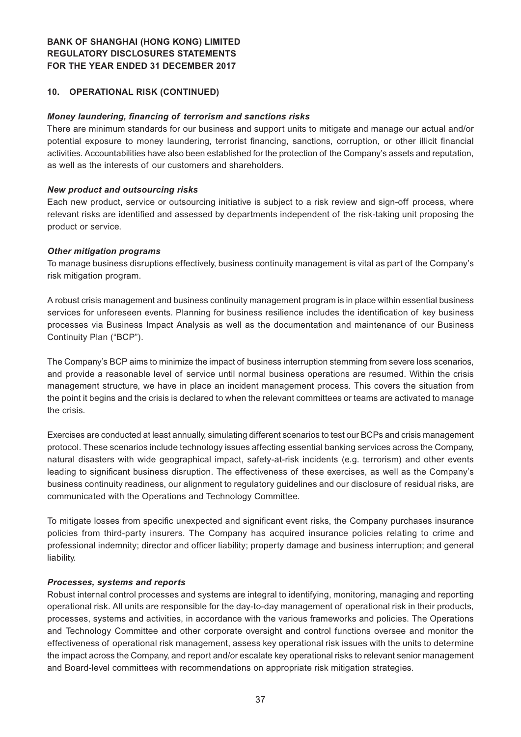#### **10. OPERATIONAL RISK (CONTINUED)**

#### *Money laundering, financing of terrorism and sanctions risks*

There are minimum standards for our business and support units to mitigate and manage our actual and/or potential exposure to money laundering, terrorist financing, sanctions, corruption, or other illicit financial activities. Accountabilities have also been established for the protection of the Company's assets and reputation, as well as the interests of our customers and shareholders.

#### *New product and outsourcing risks*

Each new product, service or outsourcing initiative is subject to a risk review and sign-off process, where relevant risks are identified and assessed by departments independent of the risk-taking unit proposing the product or service.

#### *Other mitigation programs*

To manage business disruptions effectively, business continuity management is vital as part of the Company's risk mitigation program.

A robust crisis management and business continuity management program is in place within essential business services for unforeseen events. Planning for business resilience includes the identification of key business processes via Business Impact Analysis as well as the documentation and maintenance of our Business Continuity Plan ("BCP").

The Company's BCP aims to minimize the impact of business interruption stemming from severe loss scenarios, and provide a reasonable level of service until normal business operations are resumed. Within the crisis management structure, we have in place an incident management process. This covers the situation from the point it begins and the crisis is declared to when the relevant committees or teams are activated to manage the crisis.

Exercises are conducted at least annually, simulating different scenarios to test our BCPs and crisis management protocol. These scenarios include technology issues affecting essential banking services across the Company, natural disasters with wide geographical impact, safety-at-risk incidents (e.g. terrorism) and other events leading to significant business disruption. The effectiveness of these exercises, as well as the Company's business continuity readiness, our alignment to regulatory guidelines and our disclosure of residual risks, are communicated with the Operations and Technology Committee.

To mitigate losses from specific unexpected and significant event risks, the Company purchases insurance policies from third-party insurers. The Company has acquired insurance policies relating to crime and professional indemnity; director and officer liability; property damage and business interruption; and general liability.

#### *Processes, systems and reports*

Robust internal control processes and systems are integral to identifying, monitoring, managing and reporting operational risk. All units are responsible for the day-to-day management of operational risk in their products, processes, systems and activities, in accordance with the various frameworks and policies. The Operations and Technology Committee and other corporate oversight and control functions oversee and monitor the effectiveness of operational risk management, assess key operational risk issues with the units to determine the impact across the Company, and report and/or escalate key operational risks to relevant senior management and Board-level committees with recommendations on appropriate risk mitigation strategies.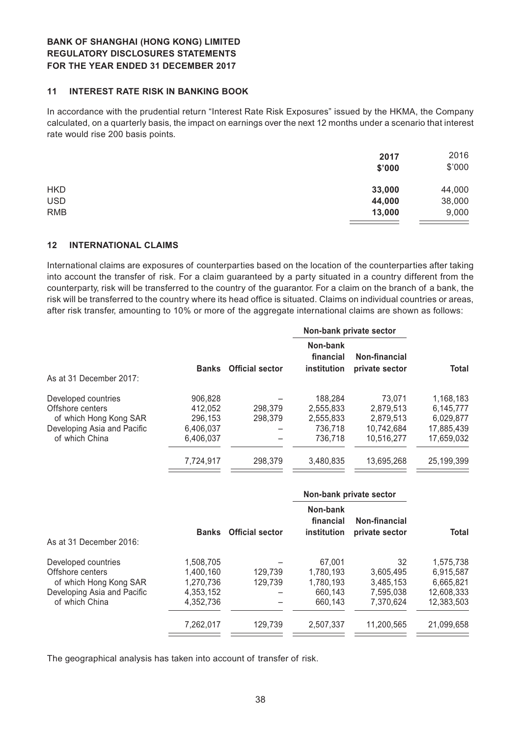#### **11 INTEREST RATE RISK IN BANKING BOOK**

In accordance with the prudential return "Interest Rate Risk Exposures" issued by the HKMA, the Company calculated, on a quarterly basis, the impact on earnings over the next 12 months under a scenario that interest rate would rise 200 basis points.

|            | 2017<br>\$'000 | 2016<br>\$'000 |
|------------|----------------|----------------|
| <b>HKD</b> | 33,000         | 44,000         |
| <b>USD</b> | 44,000         | 38,000         |
| <b>RMB</b> | 13,000         | 9,000          |

#### **12 INTERNATIONAL CLAIMS**

International claims are exposures of counterparties based on the location of the counterparties after taking into account the transfer of risk. For a claim guaranteed by a party situated in a country different from the counterparty, risk will be transferred to the country of the guarantor. For a claim on the branch of a bank, the risk will be transferred to the country where its head office is situated. Claims on individual countries or areas, after risk transfer, amounting to 10% or more of the aggregate international claims are shown as follows:

|                             |              |                        |                                      | Non-bank private sector         |            |
|-----------------------------|--------------|------------------------|--------------------------------------|---------------------------------|------------|
| As at 31 December 2017:     | <b>Banks</b> | <b>Official sector</b> | Non-bank<br>financial<br>institution | Non-financial<br>private sector | Total      |
| Developed countries         | 906.828      |                        | 188.284                              | 73.071                          | 1,168,183  |
| Offshore centers            | 412,052      | 298.379                | 2,555,833                            | 2,879,513                       | 6.145.777  |
| of which Hong Kong SAR      | 296.153      | 298,379                | 2.555.833                            | 2.879.513                       | 6.029.877  |
| Developing Asia and Pacific | 6,406,037    |                        | 736,718                              | 10,742,684                      | 17,885,439 |
| of which China              | 6.406.037    |                        | 736,718                              | 10,516,277                      | 17,659,032 |
|                             | 7,724,917    | 298,379                | 3.480.835                            | 13,695,268                      | 25,199,399 |
|                             |              |                        |                                      |                                 |            |

|                             |              |                        |                                      | Non-bank private sector         |            |
|-----------------------------|--------------|------------------------|--------------------------------------|---------------------------------|------------|
| As at 31 December 2016:     | <b>Banks</b> | <b>Official sector</b> | Non-bank<br>financial<br>institution | Non-financial<br>private sector | Total      |
|                             |              |                        |                                      |                                 |            |
| Developed countries         | 1,508,705    |                        | 67,001                               | 32                              | 1,575,738  |
| Offshore centers            | 1.400.160    | 129.739                | 1.780.193                            | 3.605.495                       | 6,915,587  |
| of which Hong Kong SAR      | 1,270,736    | 129.739                | 1.780.193                            | 3.485.153                       | 6,665,821  |
| Developing Asia and Pacific | 4,353,152    |                        | 660,143                              | 7,595,038                       | 12,608,333 |
| of which China              | 4.352.736    |                        | 660.143                              | 7,370,624                       | 12.383.503 |
|                             | 7,262,017    | 129.739                | 2.507.337                            | 11.200.565                      | 21,099,658 |

The geographical analysis has taken into account of transfer of risk.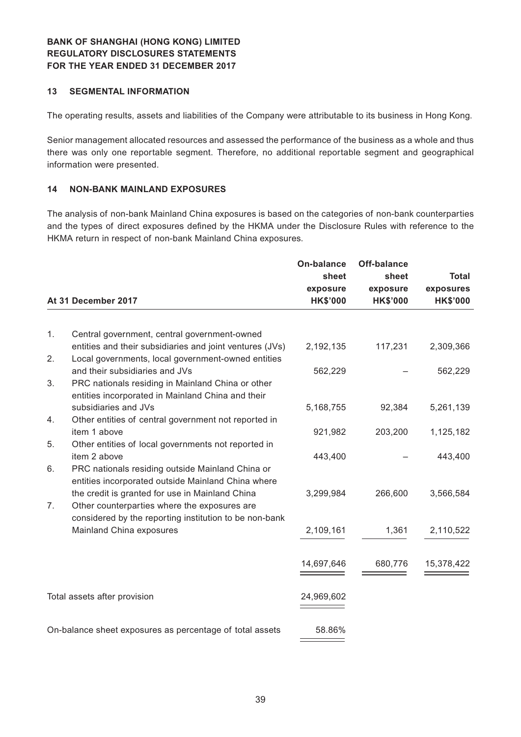## **13 SEGMENTAL INFORMATION**

The operating results, assets and liabilities of the Company were attributable to its business in Hong Kong.

Senior management allocated resources and assessed the performance of the business as a whole and thus there was only one reportable segment. Therefore, no additional reportable segment and geographical information were presented.

#### **14 NON-BANK MAINLAND EXPOSURES**

The analysis of non-bank Mainland China exposures is based on the categories of non-bank counterparties and the types of direct exposures defined by the HKMA under the Disclosure Rules with reference to the HKMA return in respect of non-bank Mainland China exposures.

|    |                                                                                                                | <b>On-balance</b> | <b>Off-balance</b> |                 |
|----|----------------------------------------------------------------------------------------------------------------|-------------------|--------------------|-----------------|
|    |                                                                                                                | sheet             | sheet              | <b>Total</b>    |
|    |                                                                                                                | exposure          | exposure           | exposures       |
|    | At 31 December 2017                                                                                            | <b>HK\$'000</b>   | <b>HK\$'000</b>    | <b>HK\$'000</b> |
|    |                                                                                                                |                   |                    |                 |
| 1. | Central government, central government-owned                                                                   |                   |                    |                 |
| 2. | entities and their subsidiaries and joint ventures (JVs)<br>Local governments, local government-owned entities | 2,192,135         | 117,231            | 2,309,366       |
|    | and their subsidiaries and JVs                                                                                 | 562,229           |                    | 562,229         |
| 3. | PRC nationals residing in Mainland China or other<br>entities incorporated in Mainland China and their         |                   |                    |                 |
|    | subsidiaries and JVs                                                                                           | 5,168,755         | 92,384             | 5,261,139       |
| 4. | Other entities of central government not reported in<br>item 1 above                                           |                   |                    |                 |
| 5. | Other entities of local governments not reported in                                                            | 921,982           | 203,200            | 1,125,182       |
|    | item 2 above                                                                                                   | 443,400           |                    | 443,400         |
| 6. | PRC nationals residing outside Mainland China or<br>entities incorporated outside Mainland China where         |                   |                    |                 |
|    | the credit is granted for use in Mainland China                                                                | 3,299,984         | 266,600            | 3,566,584       |
| 7. | Other counterparties where the exposures are<br>considered by the reporting institution to be non-bank         |                   |                    |                 |
|    | Mainland China exposures                                                                                       | 2,109,161         | 1,361              | 2,110,522       |
|    |                                                                                                                |                   |                    |                 |
|    |                                                                                                                | 14,697,646        | 680,776            | 15,378,422      |
|    |                                                                                                                |                   |                    |                 |
|    | Total assets after provision                                                                                   | 24,969,602        |                    |                 |
|    |                                                                                                                |                   |                    |                 |
|    | On-balance sheet exposures as percentage of total assets                                                       | 58.86%            |                    |                 |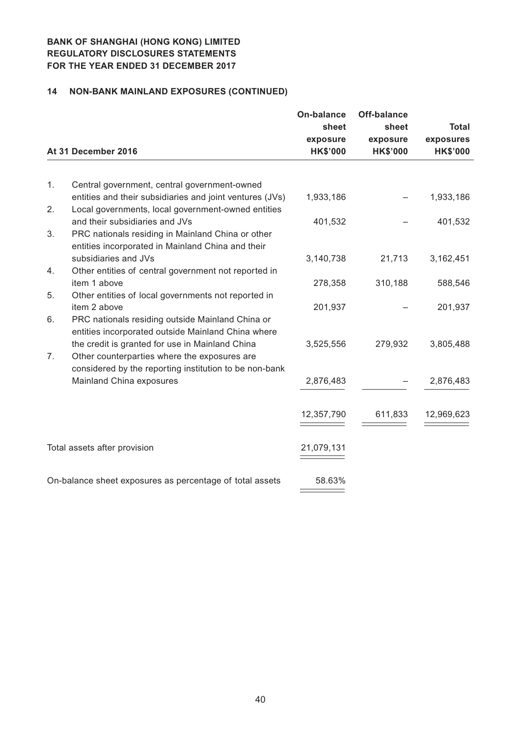# **14 NON-BANK MAINLAND EXPOSURES (CONTINUED)**

|    | At 31 December 2016                                                                                                                                       | <b>On-balance</b><br>sheet<br>exposure<br><b>HK\$'000</b> | <b>Off-balance</b><br>sheet<br>exposure<br><b>HK\$'000</b> | <b>Total</b><br>exposures<br><b>HK\$'000</b> |
|----|-----------------------------------------------------------------------------------------------------------------------------------------------------------|-----------------------------------------------------------|------------------------------------------------------------|----------------------------------------------|
|    |                                                                                                                                                           |                                                           |                                                            |                                              |
| 1. | Central government, central government-owned<br>entities and their subsidiaries and joint ventures (JVs)                                                  | 1,933,186                                                 |                                                            | 1,933,186                                    |
| 2. | Local governments, local government-owned entities                                                                                                        |                                                           |                                                            |                                              |
| 3. | and their subsidiaries and JVs<br>PRC nationals residing in Mainland China or other<br>entities incorporated in Mainland China and their                  | 401,532                                                   |                                                            | 401,532                                      |
|    | subsidiaries and JVs                                                                                                                                      | 3,140,738                                                 | 21,713                                                     | 3,162,451                                    |
| 4. | Other entities of central government not reported in<br>item 1 above                                                                                      | 278,358                                                   | 310,188                                                    | 588,546                                      |
| 5. | Other entities of local governments not reported in                                                                                                       |                                                           |                                                            |                                              |
|    | item 2 above                                                                                                                                              | 201,937                                                   |                                                            | 201,937                                      |
| 6. | PRC nationals residing outside Mainland China or<br>entities incorporated outside Mainland China where                                                    |                                                           |                                                            |                                              |
| 7. | the credit is granted for use in Mainland China<br>Other counterparties where the exposures are<br>considered by the reporting institution to be non-bank | 3,525,556                                                 | 279,932                                                    | 3,805,488                                    |
|    | Mainland China exposures                                                                                                                                  | 2,876,483                                                 |                                                            | 2,876,483                                    |
|    |                                                                                                                                                           |                                                           |                                                            |                                              |
|    |                                                                                                                                                           | 12,357,790                                                | 611,833                                                    | 12,969,623                                   |
|    | Total assets after provision                                                                                                                              | 21,079,131                                                |                                                            |                                              |
|    | On-balance sheet exposures as percentage of total assets                                                                                                  | 58.63%                                                    |                                                            |                                              |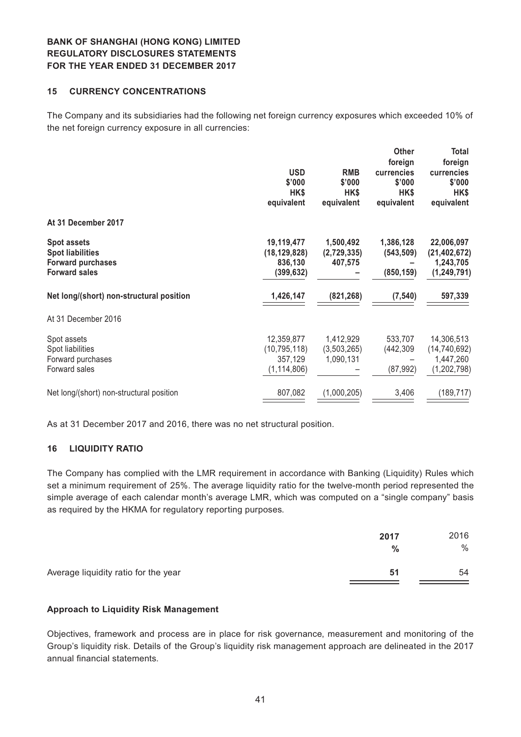#### **15 CURRENCY CONCENTRATIONS**

The Company and its subsidiaries had the following net foreign currency exposures which exceeded 10% of the net foreign currency exposure in all currencies:

|                                                                                                   |                                                          |                                       | <b>Other</b><br>foreign               | Total<br>foreign                                           |
|---------------------------------------------------------------------------------------------------|----------------------------------------------------------|---------------------------------------|---------------------------------------|------------------------------------------------------------|
|                                                                                                   | <b>USD</b><br>\$'000                                     | <b>RMB</b><br>\$'000                  | currencies<br>\$'000                  | currencies<br>\$'000                                       |
|                                                                                                   | HK\$<br>equivalent                                       | HK\$<br>equivalent                    | HK\$<br>equivalent                    | HK\$<br>equivalent                                         |
| At 31 December 2017                                                                               |                                                          |                                       |                                       |                                                            |
| <b>Spot assets</b><br><b>Spot liabilities</b><br><b>Forward purchases</b><br><b>Forward sales</b> | 19,119,477<br>(18, 129, 828)<br>836,130<br>(399, 632)    | 1,500,492<br>(2,729,335)<br>407,575   | 1,386,128<br>(543, 509)<br>(850, 159) | 22,006,097<br>(21, 402, 672)<br>1,243,705<br>(1, 249, 791) |
| Net long/(short) non-structural position                                                          | 1,426,147                                                | (821, 268)                            | (7, 540)                              | 597,339                                                    |
| At 31 December 2016                                                                               |                                                          |                                       |                                       |                                                            |
| Spot assets<br>Spot liabilities<br>Forward purchases<br>Forward sales                             | 12,359,877<br>(10, 795, 118)<br>357,129<br>(1, 114, 806) | 1,412,929<br>(3,503,265)<br>1,090,131 | 533,707<br>(442, 309)<br>(87, 992)    | 14,306,513<br>(14, 740, 692)<br>1,447,260<br>(1, 202, 798) |
| Net long/(short) non-structural position                                                          | 807,082                                                  | (1,000,205)                           | 3,406                                 | (189, 717)                                                 |

As at 31 December 2017 and 2016, there was no net structural position.

#### **16 LIQUIDITY RATIO**

The Company has complied with the LMR requirement in accordance with Banking (Liquidity) Rules which set a minimum requirement of 25%. The average liquidity ratio for the twelve-month period represented the simple average of each calendar month's average LMR, which was computed on a "single company" basis as required by the HKMA for regulatory reporting purposes.

|                                      | 2017<br>% | 2016<br>$\%$ |
|--------------------------------------|-----------|--------------|
| Average liquidity ratio for the year | -51       | 54           |

#### **Approach to Liquidity Risk Management**

Objectives, framework and process are in place for risk governance, measurement and monitoring of the Group's liquidity risk. Details of the Group's liquidity risk management approach are delineated in the 2017 annual financial statements.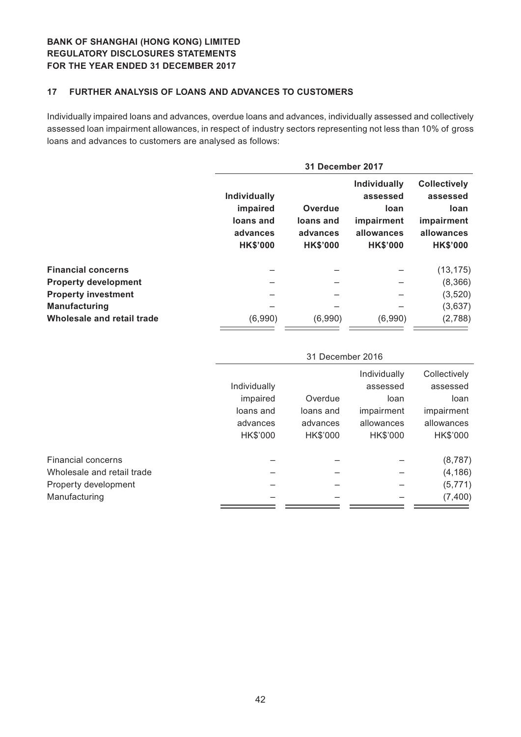## **17 FURTHER ANALYSIS OF LOANS AND ADVANCES TO CUSTOMERS**

Individually impaired loans and advances, overdue loans and advances, individually assessed and collectively assessed loan impairment allowances, in respect of industry sectors representing not less than 10% of gross loans and advances to customers are analysed as follows:

|                             | 31 December 2017                                                            |                                                            |                                                                                               |                                                                                        |  |  |
|-----------------------------|-----------------------------------------------------------------------------|------------------------------------------------------------|-----------------------------------------------------------------------------------------------|----------------------------------------------------------------------------------------|--|--|
|                             | <b>Individually</b><br>impaired<br>loans and<br>advances<br><b>HK\$'000</b> | <b>Overdue</b><br>loans and<br>advances<br><b>HK\$'000</b> | <b>Individually</b><br>assessed<br><b>loan</b><br>impairment<br>allowances<br><b>HK\$'000</b> | <b>Collectively</b><br>assessed<br>loan<br>impairment<br>allowances<br><b>HK\$'000</b> |  |  |
| <b>Financial concerns</b>   |                                                                             |                                                            |                                                                                               | (13, 175)                                                                              |  |  |
| <b>Property development</b> |                                                                             |                                                            |                                                                                               | (8,366)                                                                                |  |  |
| <b>Property investment</b>  |                                                                             |                                                            |                                                                                               | (3, 520)                                                                               |  |  |
| <b>Manufacturing</b>        |                                                                             |                                                            |                                                                                               | (3,637)                                                                                |  |  |
| Wholesale and retail trade  | (6,990)                                                                     | (6,990)                                                    | (6,990)                                                                                       | (2,788)                                                                                |  |  |

|                            | 31 December 2016 |           |              |              |  |
|----------------------------|------------------|-----------|--------------|--------------|--|
|                            |                  |           | Individually | Collectively |  |
|                            | Individually     |           | assessed     | assessed     |  |
|                            | impaired         | Overdue   | loan         | loan         |  |
|                            | loans and        | loans and | impairment   | impairment   |  |
|                            | advances         | advances  | allowances   | allowances   |  |
|                            | HK\$'000         | HK\$'000  | HK\$'000     | HK\$'000     |  |
| <b>Financial concerns</b>  |                  |           |              | (8, 787)     |  |
| Wholesale and retail trade |                  |           |              | (4, 186)     |  |
| Property development       |                  |           |              | (5, 771)     |  |
| Manufacturing              |                  |           |              | (7, 400)     |  |